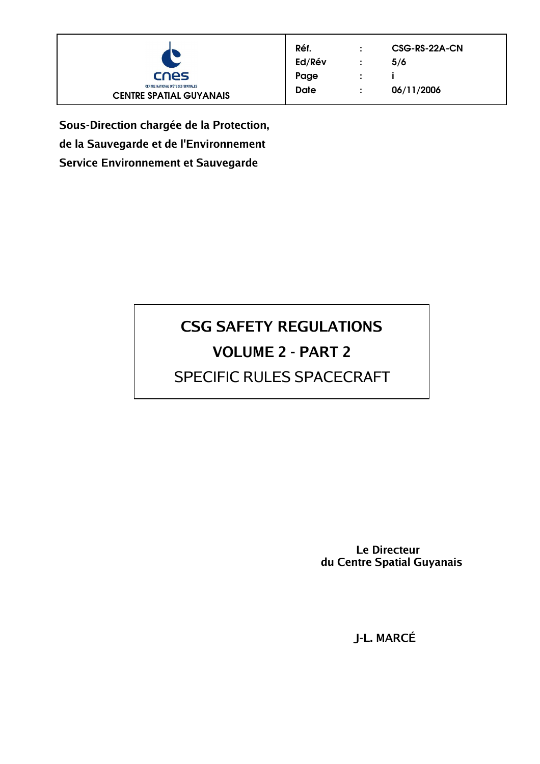

| Réf.   | ÷      | CSG-RS-22A-CN |
|--------|--------|---------------|
| Ed/Rév | ÷      | 5/6           |
| Page   | ٠<br>٠ |               |
| Date   | ÷      | 06/11/2006    |
|        |        |               |

**Sous-Direction chargée de la Protection, de la Sauvegarde et de l'Environnement Service Environnement et Sauvegarde**

# **CSG SAFETY REGULATIONS**

## **VOLUME 2 - PART 2**

## SPECIFIC RULES SPACECRAFT

 **Le Directeur du Centre Spatial Guyanais**

**J-L. MARCÉ**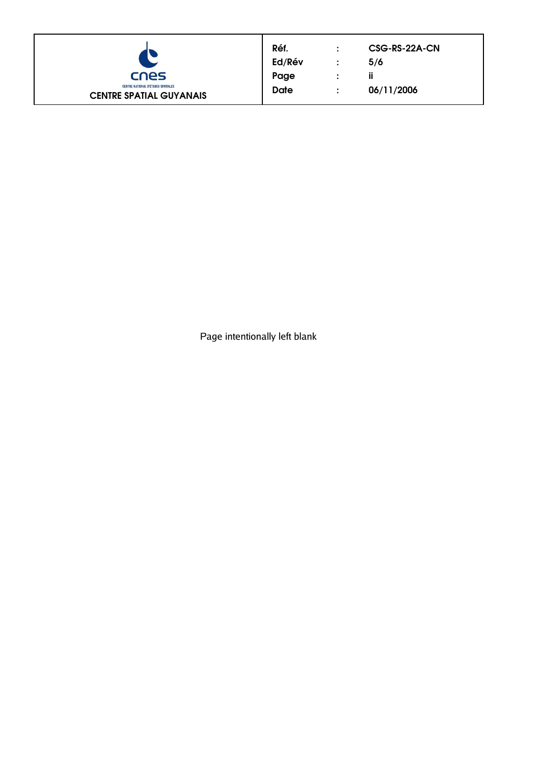

| Réf.   | ٠<br>٠ | CSG-RS-22A-CN |
|--------|--------|---------------|
| Ed/Rév | ÷      | 5/6           |
| Page   | ٠<br>٠ | ĨĨ            |
| Date   | ÷      | 06/11/2006    |
|        |        |               |

Page intentionally left blank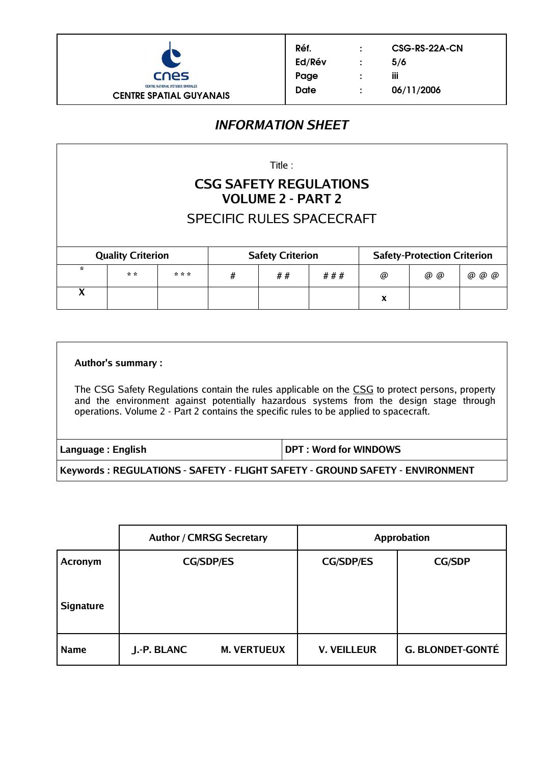

## **INFORMATION SHEET**

Title :

## **CSG SAFETY REGULATIONS VOLUME 2 - PART 2**

## SPECIFIC RULES SPACECRAFT

|   | <b>Quality Criterion</b> |       |   | <b>Safety Criterion</b> |       |   | <b>Safety-Protection Criterion</b> |       |
|---|--------------------------|-------|---|-------------------------|-------|---|------------------------------------|-------|
| ☆ | $\mathbb{R}^n$           | * * * | # | # #                     | # # # | @ | @ @                                | @ @ @ |
| v |                          |       |   |                         |       | X |                                    |       |

## **Author's summary :**

The CSG Safety Regulations contain the rules applicable on the CSG to protect persons, property and the environment against potentially hazardous systems from the design stage through operations. Volume 2 - Part 2 contains the specific rules to be applied to spacecraft.

**Language : English DPT : Word for WINDOWS**

**Keywords : REGULATIONS - SAFETY - FLIGHT SAFETY - GROUND SAFETY - ENVIRONMENT**

|                  | <b>Author / CMRSG Secretary</b>   | Approbation        |                         |
|------------------|-----------------------------------|--------------------|-------------------------|
| Acronym          | <b>CG/SDP/ES</b>                  | <b>CG/SDP/ES</b>   | <b>CG/SDP</b>           |
| <b>Signature</b> |                                   |                    |                         |
| <b>Name</b>      | <b>M. VERTUEUX</b><br>J.-P. BLANC | <b>V. VEILLEUR</b> | <b>G. BLONDET-GONTÉ</b> |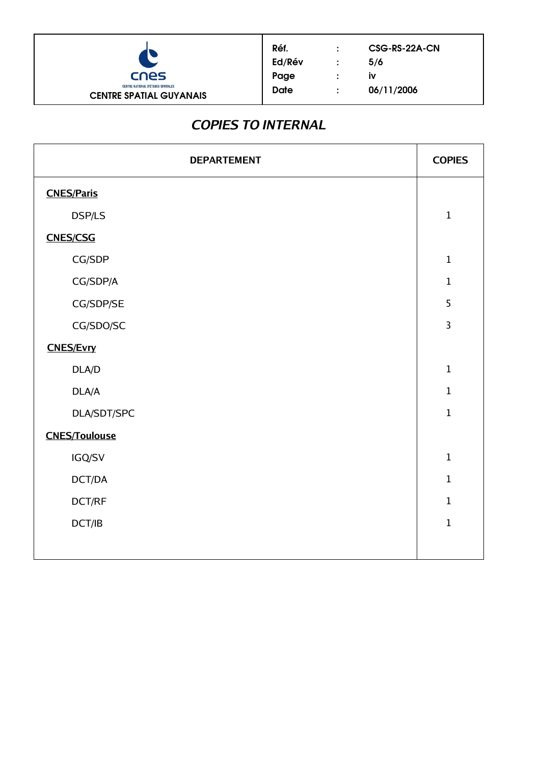

| Réf.        | ٠<br>$\blacksquare$ | CSG-RS-22A-CN |
|-------------|---------------------|---------------|
| Ed/Rév      | ٠<br>$\blacksquare$ | 5/6           |
| Page        | ٠<br>٠              | iv            |
| <b>Date</b> | ÷                   | 06/11/2006    |
|             |                     |               |

## **COPIES TO INTERNAL**

| <b>DEPARTEMENT</b>   | <b>COPIES</b>  |
|----------------------|----------------|
| <b>CNES/Paris</b>    |                |
| DSP/LS               | $\mathbf 1$    |
| <b>CNES/CSG</b>      |                |
| CG/SDP               | $\mathbf 1$    |
| CG/SDP/A             | $\mathbf{1}$   |
| CG/SDP/SE            | 5              |
| CG/SDO/SC            | $\overline{3}$ |
| <b>CNES/Evry</b>     |                |
| DLA/D                | $\mathbf{1}$   |
| DLA/A                | $\mathbf{1}$   |
| DLA/SDT/SPC          | $\mathbf{1}$   |
| <b>CNES/Toulouse</b> |                |
| IGQ/SV               | $\mathbf 1$    |
| DCT/DA               | $\mathbf{1}$   |
| DCT/RF               | $\mathbf{1}$   |
| DCT/IB               | $\mathbf{1}$   |
|                      |                |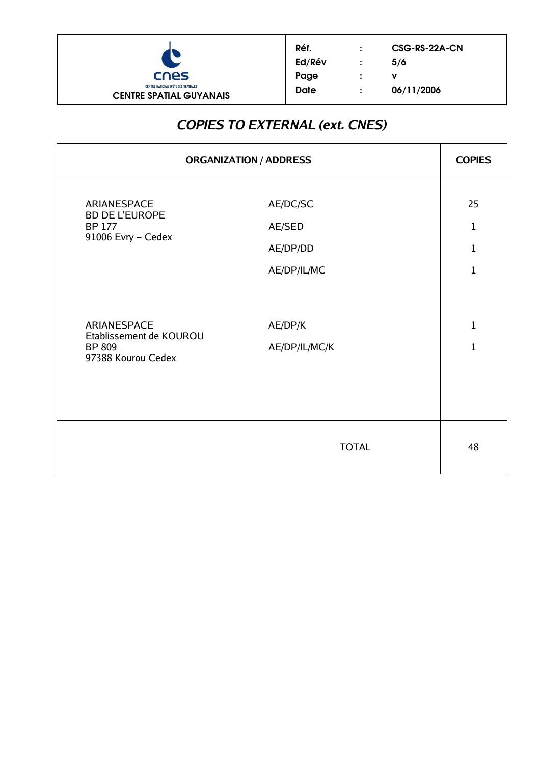

## **COPIES TO EXTERNAL (ext. CNES)**

| <b>ORGANIZATION / ADDRESS</b>                                                 | <b>COPIES</b>                                 |                                                    |
|-------------------------------------------------------------------------------|-----------------------------------------------|----------------------------------------------------|
| ARIANESPACE<br><b>BD DE L'EUROPE</b><br><b>BP 177</b><br>91006 Evry - Cedex   | AE/DC/SC<br>AE/SED<br>AE/DP/DD<br>AE/DP/IL/MC | 25<br>$\mathbf{1}$<br>$\mathbf{1}$<br>$\mathbf{1}$ |
| ARIANESPACE<br>Etablissement de KOUROU<br><b>BP 809</b><br>97388 Kourou Cedex | AE/DP/K<br>AE/DP/IL/MC/K                      | $\mathbf{1}$<br>$\mathbf{1}$                       |
|                                                                               | <b>TOTAL</b>                                  | 48                                                 |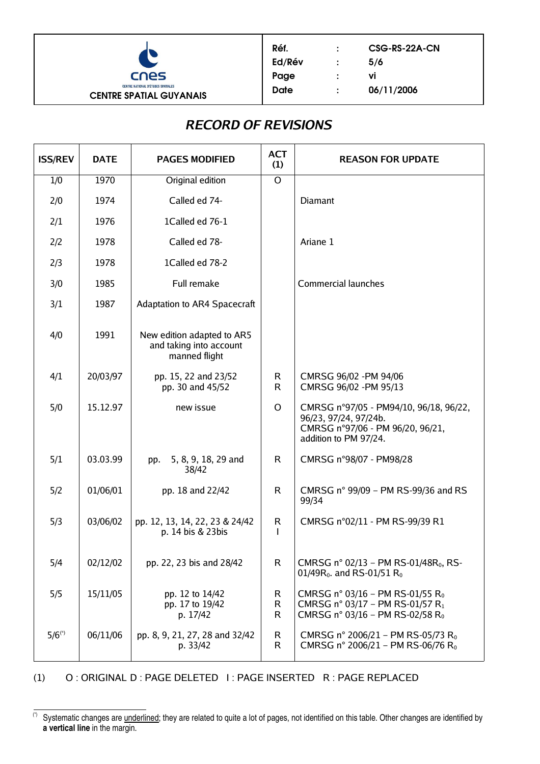

| Réf.   | ٠ | CSG-RS-22A-CN |
|--------|---|---------------|
| Ed/Rév |   | 5/6           |
| Page   | ٠ | vi            |
| Date   | ٠ | 06/11/2006    |
|        |   |               |

## **RECORD OF REVISIONS**

| <b>ISS/REV</b> | <b>DATE</b> | <b>PAGES MODIFIED</b>                                                  | <b>ACT</b><br>(1) | <b>REASON FOR UPDATE</b>                                                                                                                  |
|----------------|-------------|------------------------------------------------------------------------|-------------------|-------------------------------------------------------------------------------------------------------------------------------------------|
| 1/0            | 1970        | Original edition                                                       | $\mathsf{O}$      |                                                                                                                                           |
| 2/0            | 1974        | Called ed 74-                                                          |                   | <b>Diamant</b>                                                                                                                            |
| 2/1            | 1976        | 1Called ed 76-1                                                        |                   |                                                                                                                                           |
| 2/2            | 1978        | Called ed 78-                                                          |                   | Ariane 1                                                                                                                                  |
| 2/3            | 1978        | 1Called ed 78-2                                                        |                   |                                                                                                                                           |
| 3/0            | 1985        | Full remake                                                            |                   | <b>Commercial launches</b>                                                                                                                |
| 3/1            | 1987        | Adaptation to AR4 Spacecraft                                           |                   |                                                                                                                                           |
| 4/0            | 1991        | New edition adapted to AR5<br>and taking into account<br>manned flight |                   |                                                                                                                                           |
| 4/1            | 20/03/97    | pp. 15, 22 and 23/52<br>pp. 30 and 45/52                               | R.<br>R           | CMRSG 96/02 - PM 94/06<br>CMRSG 96/02 - PM 95/13                                                                                          |
| 5/0            | 15.12.97    | new issue                                                              | O                 | CMRSG n°97/05 - PM94/10, 96/18, 96/22,<br>96/23, 97/24, 97/24b.<br>CMRSG n°97/06 - PM 96/20, 96/21,<br>addition to PM 97/24.              |
| 5/1            | 03.03.99    | 5, 8, 9, 18, 29 and<br>pp.<br>38/42                                    | R.                | CMRSG n°98/07 - PM98/28                                                                                                                   |
| 5/2            | 01/06/01    | pp. 18 and 22/42                                                       | R                 | CMRSG n° 99/09 - PM RS-99/36 and RS<br>99/34                                                                                              |
| 5/3            | 03/06/02    | pp. 12, 13, 14, 22, 23 & 24/42<br>p. 14 bis & 23bis                    | R<br>$\mathbf{I}$ | CMRSG n°02/11 - PM RS-99/39 R1                                                                                                            |
| 5/4            | 02/12/02    | pp. 22, 23 bis and 28/42                                               | $\mathsf{R}$      | CMRSG n° 02/13 - PM RS-01/48R <sub>0</sub> , RS-<br>01/49R <sub>0</sub> . and RS-01/51 R <sub>0</sub>                                     |
| 5/5            | 15/11/05    | pp. 12 to 14/42<br>pp. 17 to 19/42<br>p. 17/42                         | R.<br>R<br>R      | CMRSG n° 03/16 – PM RS-01/55 R <sub>0</sub><br>CMRSG n° 03/17 – PM RS-01/57 R <sub>1</sub><br>CMRSG n° 03/16 - PM RS-02/58 R <sub>0</sub> |
| $5/6^{(*)}$    | 06/11/06    | pp. 8, 9, 21, 27, 28 and 32/42<br>p. 33/42                             | R<br>R            | CMRSG n° 2006/21 - PM RS-05/73 R <sub>0</sub><br>CMRSG n° 2006/21 – PM RS-06/76 R <sub>0</sub>                                            |

(1) O : ORIGINAL D : PAGE DELETED I : PAGE INSERTED R : PAGE REPLACED

 $\rm ^{\circ}$  Systematic changes are <u>underlined</u>; they are related to quite a lot of pages, not identified on this table. Other changes are identified by **a vertical line** in the margin.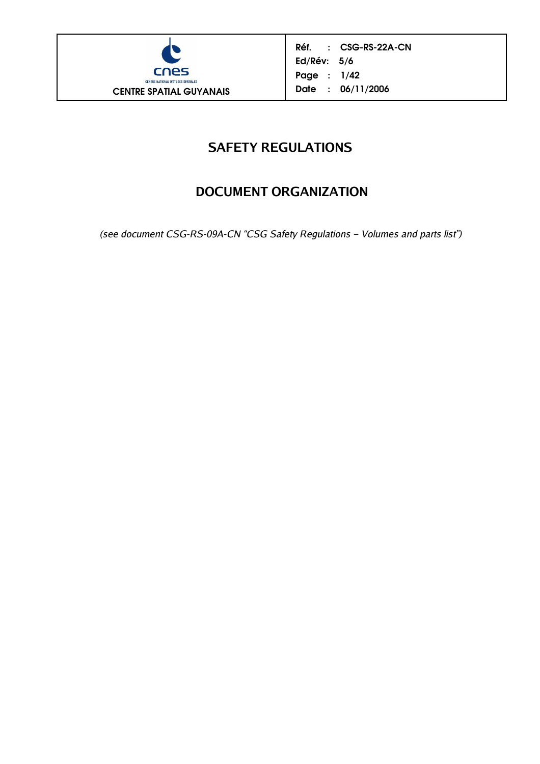

Réf. : CSG-RS-22A-CN Ed/Rév: 5/6 Page : 1/42 Date : 06/11/2006

## **SAFETY REGULATIONS**

## **DOCUMENT ORGANIZATION**

(see document CSG-RS-09A-CN "CSG Safety Regulations – Volumes and parts list")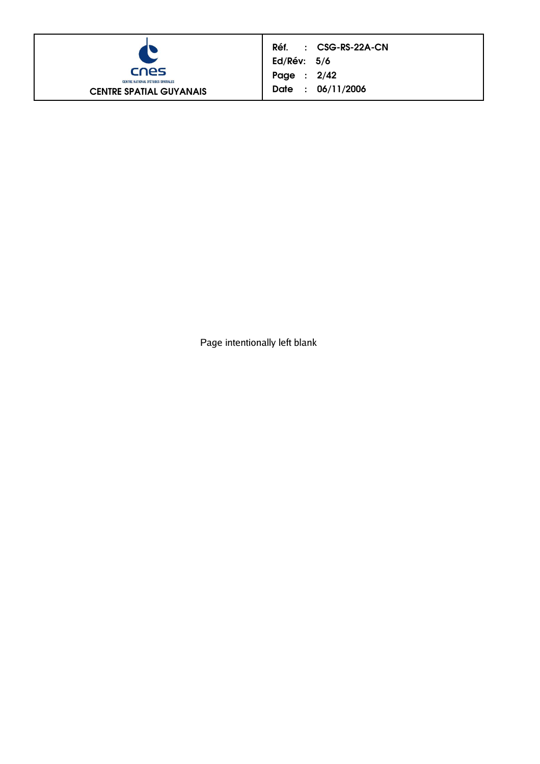

Réf. : CSG-RS-22A-CN Ed/Rév: 5/6 Page : 2/42 Date : 06/11/2006

Page intentionally left blank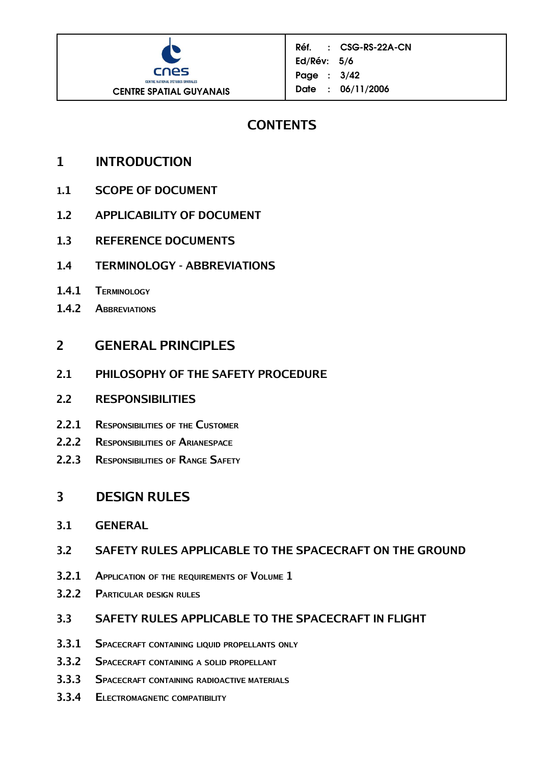

## **CONTENTS**

- **1 INTRODUCTION**
- **1.1 SCOPE OF DOCUMENT**
- **1.2 APPLICABILITY OF DOCUMENT**
- **1.3 REFERENCE DOCUMENTS**
- **1.4 TERMINOLOGY ABBREVIATIONS**
- **1.4.1 TERMINOLOGY**
- **1.4.2 ABBREVIATIONS**

## **2 GENERAL PRINCIPLES**

**2.1 PHILOSOPHY OF THE SAFETY PROCEDURE**

## **2.2 RESPONSIBILITIES**

- **2.2.1 RESPONSIBILITIES OF THE CUSTOMER**
- **2.2.2 RESPONSIBILITIES OF ARIANESPACE**
- **2.2.3 RESPONSIBILITIES OF RANGE SAFETY**

## **3 DESIGN RULES**

**3.1 GENERAL**

## **3.2 SAFETY RULES APPLICABLE TO THE SPACECRAFT ON THE GROUND**

- **3.2.1 APPLICATION OF THE REQUIREMENTS OF VOLUME 1**
- **3.2.2 PARTICULAR DESIGN RULES**

## **3.3 SAFETY RULES APPLICABLE TO THE SPACECRAFT IN FLIGHT**

- **3.3.1 SPACECRAFT CONTAINING LIQUID PROPELLANTS ONLY**
- **3.3.2 SPACECRAFT CONTAINING <sup>A</sup> SOLID PROPELLANT**
- **3.3.3 SPACECRAFT CONTAINING RADIOACTIVE MATERIALS**
- **3.3.4 ELECTROMAGNETIC COMPATIBILITY**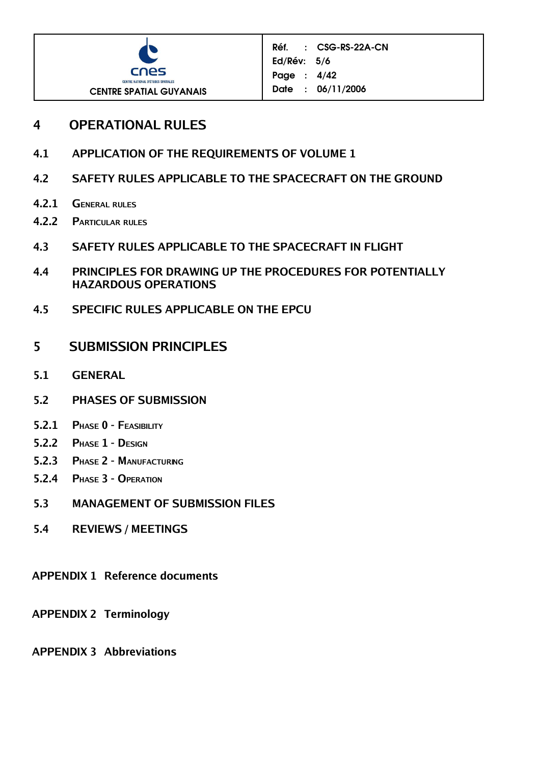

## **4 OPERATIONAL RULES**

- **4.1 APPLICATION OF THE REQUIREMENTS OF VOLUME 1**
- **4.2 SAFETY RULES APPLICABLE TO THE SPACECRAFT ON THE GROUND**
- **4.2.1 GENERAL RULES**
- **4.2.2 PARTICULAR RULES**
- **4.3 SAFETY RULES APPLICABLE TO THE SPACECRAFT IN FLIGHT**
- **4.4 PRINCIPLES FOR DRAWING UP THE PROCEDURES FOR POTENTIALLY HAZARDOUS OPERATIONS**
- **4.5 SPECIFIC RULES APPLICABLE ON THE EPCU**
- **5 SUBMISSION PRINCIPLES**
- **5.1 GENERAL**
- **5.2 PHASES OF SUBMISSION**
- **5.2.1 PHASE 0 - FEASIBILITY**
- **5.2.2 PHASE 1 - DESIGN**
- **5.2.3 PHASE 2 - MANUFACTURING**
- **5.2.4 PHASE 3 - OPERATION**
- **5.3 MANAGEMENT OF SUBMISSION FILES**
- **5.4 REVIEWS / MEETINGS**
- **APPENDIX 1 Reference documents**
- **APPENDIX 2 Terminology**
- **APPENDIX 3 Abbreviations**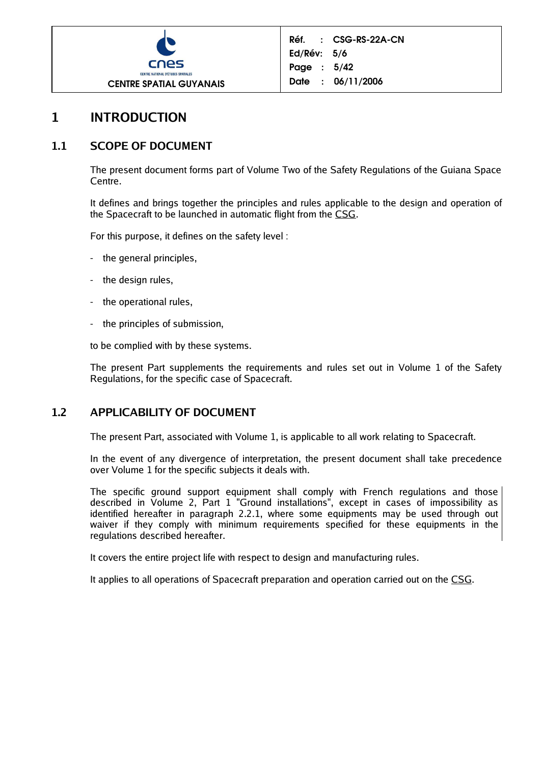

## **1 INTRODUCTION**

## **1.1 SCOPE OF DOCUMENT**

The present document forms part of Volume Two of the Safety Regulations of the Guiana Space Centre.

It defines and brings together the principles and rules applicable to the design and operation of the Spacecraft to be launched in automatic flight from the CSG.

For this purpose, it defines on the safety level :

- the general principles,
- the design rules,
- the operational rules,
- the principles of submission,

to be complied with by these systems.

The present Part supplements the requirements and rules set out in Volume 1 of the Safety Regulations, for the specific case of Spacecraft.

## **1.2 APPLICABILITY OF DOCUMENT**

The present Part, associated with Volume 1, is applicable to all work relating to Spacecraft.

In the event of any divergence of interpretation, the present document shall take precedence over Volume 1 for the specific subjects it deals with.

The specific ground support equipment shall comply with French regulations and those described in Volume 2, Part 1 "Ground installations", except in cases of impossibility as identified hereafter in paragraph 2.2.1, where some equipments may be used through out waiver if they comply with minimum requirements specified for these equipments in the regulations described hereafter.

It covers the entire project life with respect to design and manufacturing rules.

It applies to all operations of Spacecraft preparation and operation carried out on the CSG.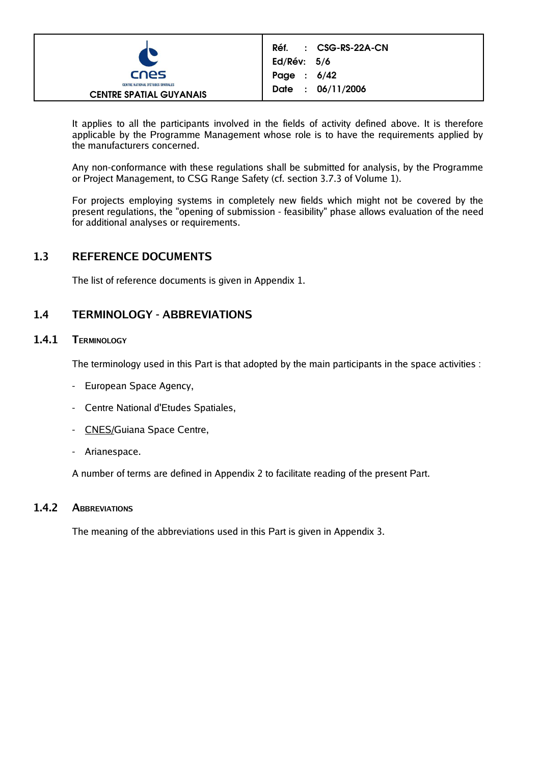

It applies to all the participants involved in the fields of activity defined above. It is therefore applicable by the Programme Management whose role is to have the requirements applied by the manufacturers concerned.

Any non-conformance with these regulations shall be submitted for analysis, by the Programme or Project Management, to CSG Range Safety (cf. section 3.7.3 of Volume 1).

For projects employing systems in completely new fields which might not be covered by the present regulations, the "opening of submission - feasibility" phase allows evaluation of the need for additional analyses or requirements.

## **1.3 REFERENCE DOCUMENTS**

The list of reference documents is given in Appendix 1.

## **1.4 TERMINOLOGY - ABBREVIATIONS**

## **1.4.1 TERMINOLOGY**

The terminology used in this Part is that adopted by the main participants in the space activities :

- European Space Agency,
- Centre National d'Etudes Spatiales,
- CNES/Guiana Space Centre,
- Arianespace.

A number of terms are defined in Appendix 2 to facilitate reading of the present Part.

## **1.4.2 ABBREVIATIONS**

The meaning of the abbreviations used in this Part is given in Appendix 3.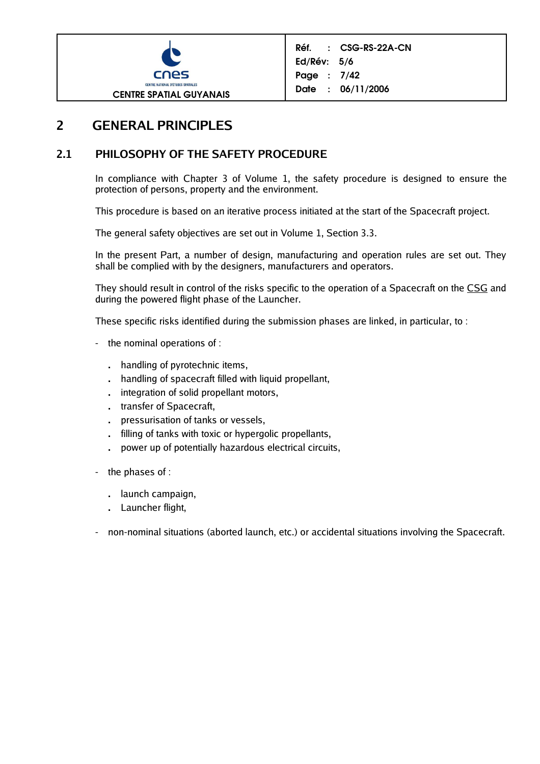

## **2 GENERAL PRINCIPLES**

## **2.1 PHILOSOPHY OF THE SAFETY PROCEDURE**

In compliance with Chapter 3 of Volume 1, the safety procedure is designed to ensure the protection of persons, property and the environment.

This procedure is based on an iterative process initiated at the start of the Spacecraft project.

The general safety objectives are set out in Volume 1, Section 3.3.

In the present Part, a number of design, manufacturing and operation rules are set out. They shall be complied with by the designers, manufacturers and operators.

They should result in control of the risks specific to the operation of a Spacecraft on the CSG and during the powered flight phase of the Launcher.

These specific risks identified during the submission phases are linked, in particular, to :

- the nominal operations of :
	- **.** handling of pyrotechnic items,
	- **.** handling of spacecraft filled with liquid propellant,
	- **.** integration of solid propellant motors,
	- **.** transfer of Spacecraft,
	- **.** pressurisation of tanks or vessels,
	- **.** filling of tanks with toxic or hypergolic propellants,
	- **.** power up of potentially hazardous electrical circuits,
- the phases of :
	- **.** launch campaign,
	- **.** Launcher flight,
- non-nominal situations (aborted launch, etc.) or accidental situations involving the Spacecraft.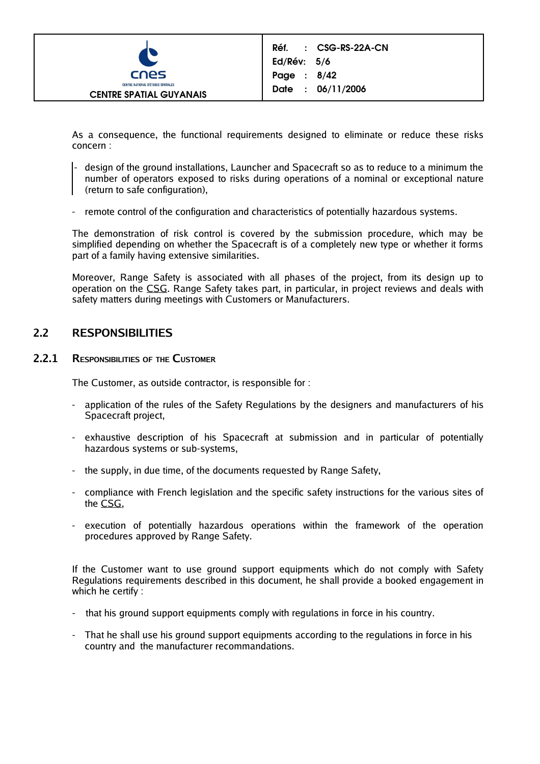

As a consequence, the functional requirements designed to eliminate or reduce these risks concern :

- design of the ground installations, Launcher and Spacecraft so as to reduce to a minimum the number of operators exposed to risks during operations of a nominal or exceptional nature (return to safe configuration),
- remote control of the configuration and characteristics of potentially hazardous systems.

The demonstration of risk control is covered by the submission procedure, which may be simplified depending on whether the Spacecraft is of a completely new type or whether it forms part of a family having extensive similarities.

Moreover, Range Safety is associated with all phases of the project, from its design up to operation on the CSG. Range Safety takes part, in particular, in project reviews and deals with safety matters during meetings with Customers or Manufacturers.

## **2.2 RESPONSIBILITIES**

### **2.2.1 RESPONSIBILITIES OF THE CUSTOMER**

The Customer, as outside contractor, is responsible for :

- application of the rules of the Safety Regulations by the designers and manufacturers of his Spacecraft project,
- exhaustive description of his Spacecraft at submission and in particular of potentially hazardous systems or sub-systems,
- the supply, in due time, of the documents requested by Range Safety,
- compliance with French legislation and the specific safety instructions for the various sites of the CSG,
- execution of potentially hazardous operations within the framework of the operation procedures approved by Range Safety.

If the Customer want to use ground support equipments which do not comply with Safety Regulations requirements described in this document, he shall provide a booked engagement in which he certify :

- that his ground support equipments comply with regulations in force in his country.
- That he shall use his ground support equipments according to the regulations in force in his country and the manufacturer recommandations.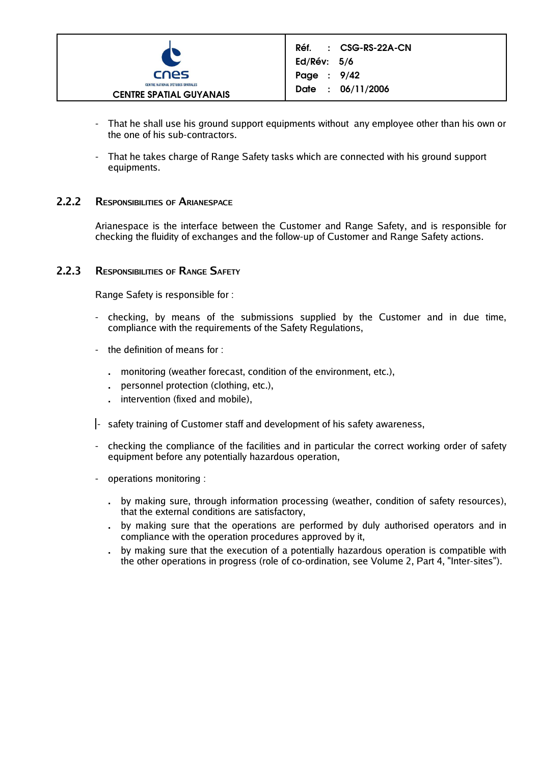

- That he shall use his ground support equipments without any employee other than his own or the one of his sub-contractors.
- That he takes charge of Range Safety tasks which are connected with his ground support equipments.

## **2.2.2 RESPONSIBILITIES OF ARIANESPACE**

Arianespace is the interface between the Customer and Range Safety, and is responsible for checking the fluidity of exchanges and the follow-up of Customer and Range Safety actions.

### **2.2.3 RESPONSIBILITIES OF RANGE SAFETY**

Range Safety is responsible for :

- checking, by means of the submissions supplied by the Customer and in due time, compliance with the requirements of the Safety Regulations,
- the definition of means for  $\cdot$ 
	- **.** monitoring (weather forecast, condition of the environment, etc.),
	- **.** personnel protection (clothing, etc.),
	- **.** intervention (fixed and mobile),
- safety training of Customer staff and development of his safety awareness,
- checking the compliance of the facilities and in particular the correct working order of safety equipment before any potentially hazardous operation,
- operations monitoring :
	- **.** by making sure, through information processing (weather, condition of safety resources), that the external conditions are satisfactory,
	- **.** by making sure that the operations are performed by duly authorised operators and in compliance with the operation procedures approved by it,
	- **.** by making sure that the execution of a potentially hazardous operation is compatible with the other operations in progress (role of co-ordination, see Volume 2, Part 4, "Inter-sites").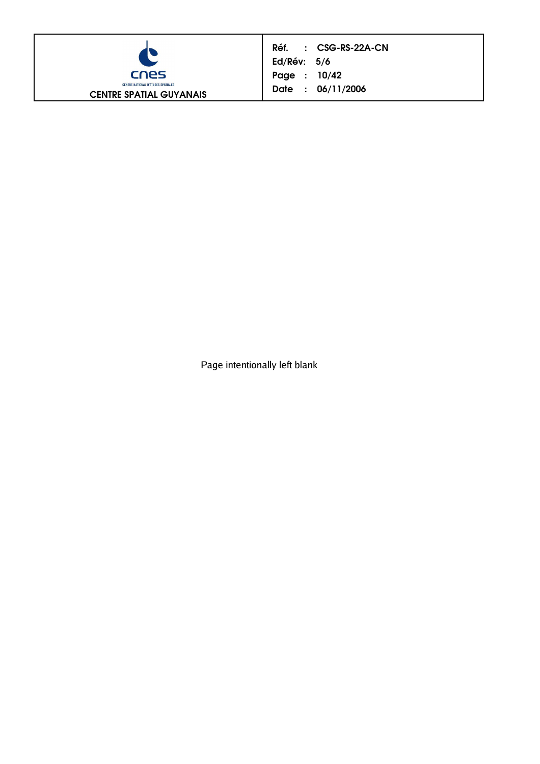

|               | Réf. : CSG-RS-22A-CN |  |  |
|---------------|----------------------|--|--|
| Ed/Rév: $5/6$ |                      |  |  |
|               | Page : 10/42         |  |  |
|               | Date: 06/11/2006     |  |  |

Page intentionally left blank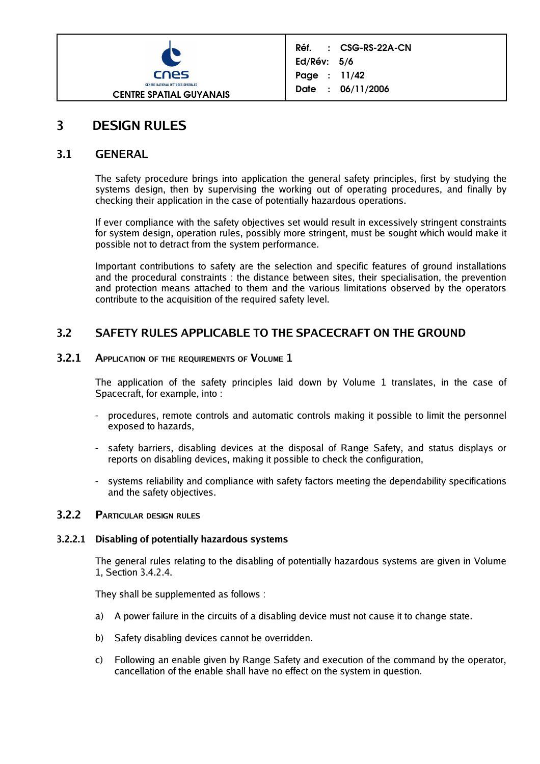

Réf. : CSG-RS-22A-CN Ed/Rév: 5/6 Page : 11/42 Date : 06/11/2006

## **3 DESIGN RULES**

## **3.1 GENERAL**

The safety procedure brings into application the general safety principles, first by studying the systems design, then by supervising the working out of operating procedures, and finally by checking their application in the case of potentially hazardous operations.

If ever compliance with the safety objectives set would result in excessively stringent constraints for system design, operation rules, possibly more stringent, must be sought which would make it possible not to detract from the system performance.

Important contributions to safety are the selection and specific features of ground installations and the procedural constraints : the distance between sites, their specialisation, the prevention and protection means attached to them and the various limitations observed by the operators contribute to the acquisition of the required safety level.

## **3.2 SAFETY RULES APPLICABLE TO THE SPACECRAFT ON THE GROUND**

## **3.2.1 APPLICATION OF THE REQUIREMENTS OF VOLUME 1**

The application of the safety principles laid down by Volume 1 translates, in the case of Spacecraft, for example, into :

- procedures, remote controls and automatic controls making it possible to limit the personnel exposed to hazards,
- safety barriers, disabling devices at the disposal of Range Safety, and status displays or reports on disabling devices, making it possible to check the configuration,
- systems reliability and compliance with safety factors meeting the dependability specifications and the safety objectives.

## **3.2.2 PARTICULAR DESIGN RULES**

## **3.2.2.1 Disabling of potentially hazardous systems**

The general rules relating to the disabling of potentially hazardous systems are given in Volume 1, Section 3.4.2.4.

They shall be supplemented as follows :

- a) A power failure in the circuits of a disabling device must not cause it to change state.
- b) Safety disabling devices cannot be overridden.
- c) Following an enable given by Range Safety and execution of the command by the operator, cancellation of the enable shall have no effect on the system in question.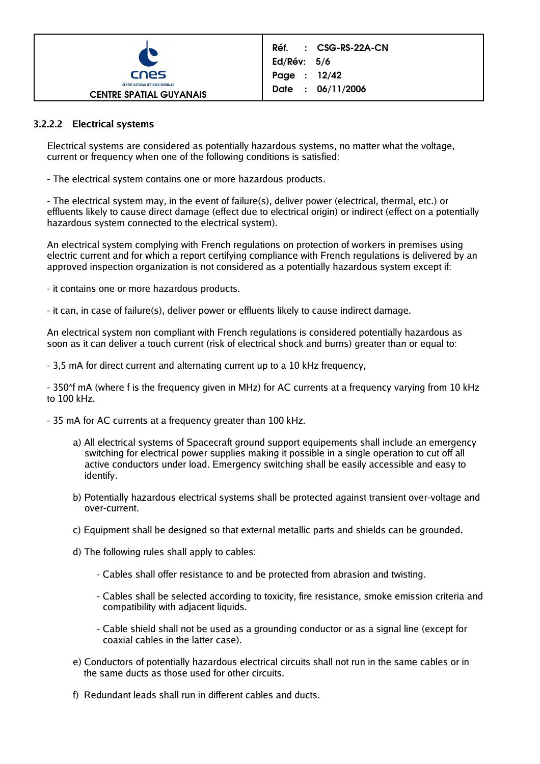

### **3.2.2.2 Electrical systems**

Electrical systems are considered as potentially hazardous systems, no matter what the voltage, current or frequency when one of the following conditions is satisfied:

- The electrical system contains one or more hazardous products.

- The electrical system may, in the event of failure(s), deliver power (electrical, thermal, etc.) or effluents likely to cause direct damage (effect due to electrical origin) or indirect (effect on a potentially hazardous system connected to the electrical system).

An electrical system complying with French regulations on protection of workers in premises using electric current and for which a report certifying compliance with French regulations is delivered by an approved inspection organization is not considered as a potentially hazardous system except if:

- it contains one or more hazardous products.

- it can, in case of failure(s), deliver power or effluents likely to cause indirect damage.

An electrical system non compliant with French regulations is considered potentially hazardous as soon as it can deliver a touch current (risk of electrical shock and burns) greater than or equal to:

- 3,5 mA for direct current and alternating current up to a 10 kHz frequency,

- 350\*f mA (where f is the frequency given in MHz) for AC currents at a frequency varying from 10 kHz to 100 kHz.

- 35 mA for AC currents at a frequency greater than 100 kHz.

- a) All electrical systems of Spacecraft ground support equipements shall include an emergency switching for electrical power supplies making it possible in a single operation to cut off all active conductors under load. Emergency switching shall be easily accessible and easy to identify.
- b) Potentially hazardous electrical systems shall be protected against transient over-voltage and over-current.
- c) Equipment shall be designed so that external metallic parts and shields can be grounded.
- d) The following rules shall apply to cables:
	- Cables shall offer resistance to and be protected from abrasion and twisting.
	- Cables shall be selected according to toxicity, fire resistance, smoke emission criteria and compatibility with adjacent liquids.
	- Cable shield shall not be used as a grounding conductor or as a signal line (except for coaxial cables in the latter case).
- e) Conductors of potentially hazardous electrical circuits shall not run in the same cables or in the same ducts as those used for other circuits.
- f) Redundant leads shall run in different cables and ducts.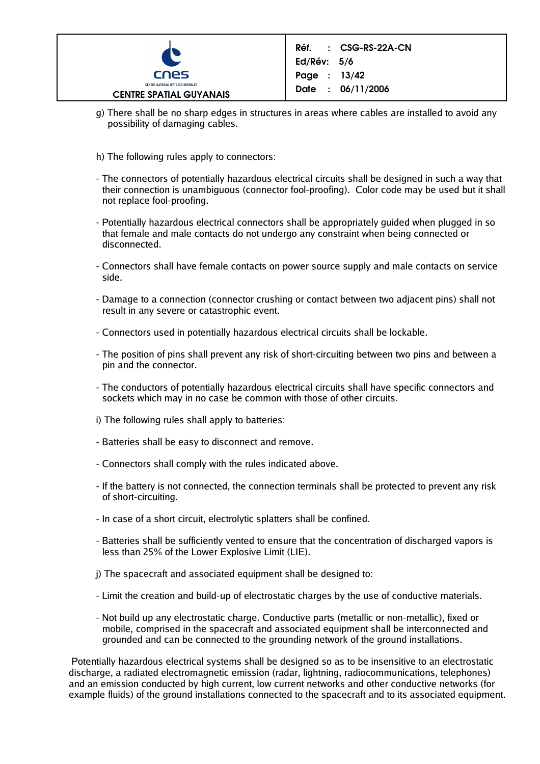

- g) There shall be no sharp edges in structures in areas where cables are installed to avoid any possibility of damaging cables.
- h) The following rules apply to connectors:
- The connectors of potentially hazardous electrical circuits shall be designed in such a way that their connection is unambiguous (connector fool-proofing). Color code may be used but it shall not replace fool-proofing.
- Potentially hazardous electrical connectors shall be appropriately guided when plugged in so that female and male contacts do not undergo any constraint when being connected or disconnected.
- Connectors shall have female contacts on power source supply and male contacts on service side.
- Damage to a connection (connector crushing or contact between two adjacent pins) shall not result in any severe or catastrophic event.
- Connectors used in potentially hazardous electrical circuits shall be lockable.
- The position of pins shall prevent any risk of short-circuiting between two pins and between a pin and the connector.
- The conductors of potentially hazardous electrical circuits shall have specific connectors and sockets which may in no case be common with those of other circuits.
- i) The following rules shall apply to batteries:
- Batteries shall be easy to disconnect and remove.
- Connectors shall comply with the rules indicated above.
- If the battery is not connected, the connection terminals shall be protected to prevent any risk of short-circuiting.
- In case of a short circuit, electrolytic splatters shall be confined.
- Batteries shall be sufficiently vented to ensure that the concentration of discharged vapors is less than 25% of the Lower Explosive Limit (LIE).
- j) The spacecraft and associated equipment shall be designed to:
- Limit the creation and build-up of electrostatic charges by the use of conductive materials.
- Not build up any electrostatic charge. Conductive parts (metallic or non-metallic), fixed or mobile, comprised in the spacecraft and associated equipment shall be interconnected and grounded and can be connected to the grounding network of the ground installations.

Potentially hazardous electrical systems shall be designed so as to be insensitive to an electrostatic discharge, a radiated electromagnetic emission (radar, lightning, radiocommunications, telephones) and an emission conducted by high current, low current networks and other conductive networks (for example fluids) of the ground installations connected to the spacecraft and to its associated equipment.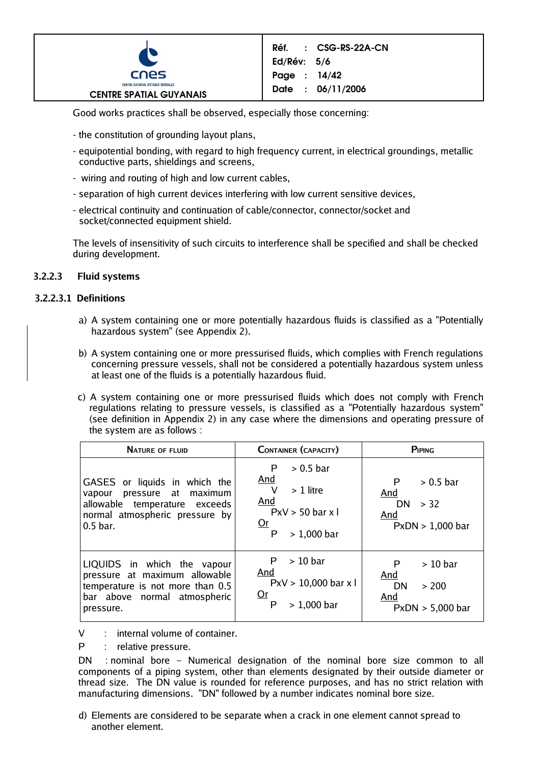

Good works practices shall be observed, especially those concerning:

- the constitution of grounding layout plans,
- equipotential bonding, with regard to high frequency current, in electrical groundings, metallic conductive parts, shieldings and screens,
- wiring and routing of high and low current cables,
- separation of high current devices interfering with low current sensitive devices,
- electrical continuity and continuation of cable/connector, connector/socket and socket/connected equipment shield.

The levels of insensitivity of such circuits to interference shall be specified and shall be checked during development.

## **3.2.2.3 Fluid systems**

## **3.2.2.3.1 Definitions**

- a) A system containing one or more potentially hazardous fluids is classified as a "Potentially hazardous system" (see Appendix 2).
- b) A system containing one or more pressurised fluids, which complies with French regulations concerning pressure vessels, shall not be considered a potentially hazardous system unless at least one of the fluids is a potentially hazardous fluid.
- c) A system containing one or more pressurised fluids which does not comply with French regulations relating to pressure vessels, is classified as a "Potentially hazardous system" (see definition in Appendix 2) in any case where the dimensions and operating pressure of the system are as follows :

| <b>NATURE OF FLUID</b>                                                                                                                          | <b>CONTAINER (CAPACITY)</b>                                                                         | PIPING                                                                          |
|-------------------------------------------------------------------------------------------------------------------------------------------------|-----------------------------------------------------------------------------------------------------|---------------------------------------------------------------------------------|
| GASES or liquids in which the<br>pressure at maximum<br>vapour<br>allowable temperature exceeds<br>normal atmospheric pressure by<br>$0.5$ bar. | $> 0.5$ bar<br>P<br>And<br>$>1$ litre<br>v<br>And<br>$Pxy > 50$ bar x l<br>Qr<br>$> 1,000$ bar<br>P | $> 0.5$ bar<br>P<br><u>And</u><br>> 32<br>DN.<br>And<br>$PxDN > 1,000$ bar      |
| LIQUIDS in which the vapour<br>pressure at maximum allowable<br>temperature is not more than 0.5<br>bar above normal atmospheric<br>pressure.   | $>10$ bar<br>P<br>And<br>$PxV > 10,000$ bar x l<br>Qr<br>$> 1,000$ bar<br>P                         | $>10$ bar<br>P<br><u>And</u><br><b>DN</b><br>> 200<br>And<br>$PxDN > 5,000$ bar |

- V : internal volume of container.
- P : relative pressure.

d) Elements are considered to be separate when a crack in one element cannot spread to another element.

DN : nominal bore – Numerical designation of the nominal bore size common to all components of a piping system, other than elements designated by their outside diameter or thread size. The DN value is rounded for reference purposes, and has no strict relation with manufacturing dimensions. "DN" followed by a number indicates nominal bore size.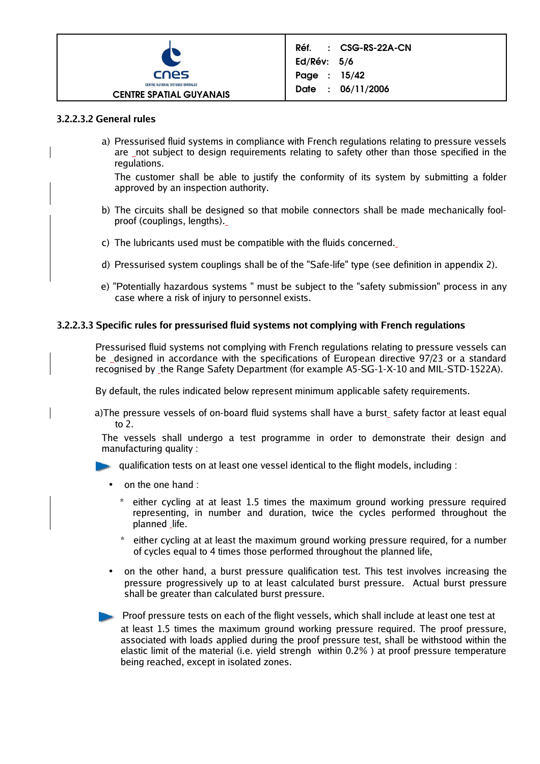

### **3.2.2.3.2 General rules**

a) Pressurised fluid systems in compliance with French regulations relating to pressure vessels are not subject to design requirements relating to safety other than those specified in the regulations.

The customer shall be able to justify the conformity of its system by submitting a folder approved by an inspection authority.

- b) The circuits shall be designed so that mobile connectors shall be made mechanically foolproof (couplings, lengths).
- c) The lubricants used must be compatible with the fluids concerned.
- d) Pressurised system couplings shall be of the "Safe-life" type (see definition in appendix 2).
- e) "Potentially hazardous systems " must be subject to the "safety submission" process in any case where a risk of injury to personnel exists.

#### **3.2.2.3.3 Specific rules for pressurised fluid systems not complying with French regulations**

Pressurised fluid systems not complying with French regulations relating to pressure vessels can be designed in accordance with the specifications of European directive 97/23 or a standard recognised by the Range Safety Department (for example A5-SG-1-X-10 and MIL-STD-1522A).

By default, the rules indicated below represent minimum applicable safety requirements.

a)The pressure vessels of on-board fluid systems shall have a burst safety factor at least equal to  $2<sub>1</sub>$ 

The vessels shall undergo a test programme in order to demonstrate their design and manufacturing quality :

qualification tests on at least one vessel identical to the flight models, including :

- on the one hand :
	- either cycling at at least 1.5 times the maximum ground working pressure required representing, in number and duration, twice the cycles performed throughout the planned life.
	- either cycling at at least the maximum ground working pressure required, for a number of cycles equal to 4 times those performed throughout the planned life,
- on the other hand, a burst pressure qualification test. This test involves increasing the pressure progressively up to at least calculated burst pressure. Actual burst pressure shall be greater than calculated burst pressure.

Proof pressure tests on each of the flight vessels, which shall include at least one test at at least 1.5 times the maximum ground working pressure required. The proof pressure, associated with loads applied during the proof pressure test, shall be withstood within the elastic limit of the material (i.e. yield strengh within 0.2% ) at proof pressure temperature being reached, except in isolated zones.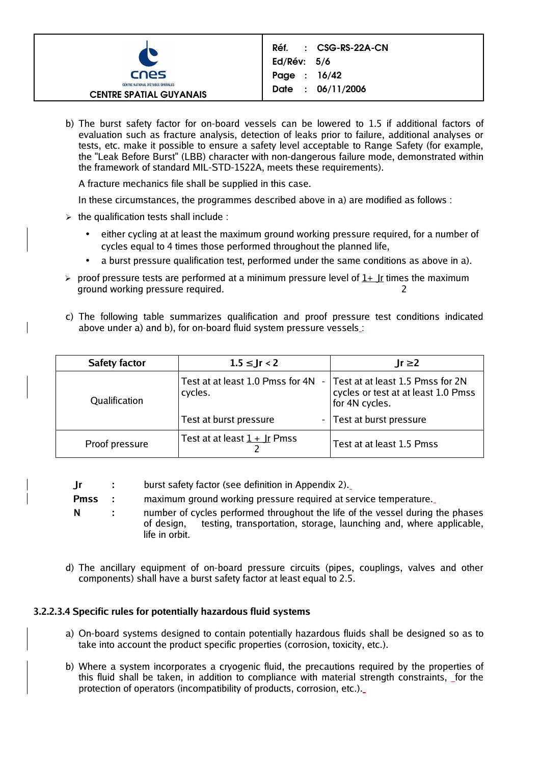

b) The burst safety factor for on-board vessels can be lowered to 1.5 if additional factors of evaluation such as fracture analysis, detection of leaks prior to failure, additional analyses or tests, etc. make it possible to ensure a safety level acceptable to Range Safety (for example, the "Leak Before Burst" (LBB) character with non-dangerous failure mode, demonstrated within the framework of standard MIL-STD-1522A, meets these requirements).

A fracture mechanics file shall be supplied in this case.

In these circumstances, the programmes described above in a) are modified as follows :

- $\triangleright$  the qualification tests shall include :
	- either cycling at at least the maximum ground working pressure required, for a number of cycles equal to 4 times those performed throughout the planned life,
	- a burst pressure qualification test, performed under the same conditions as above in a).
- $\geq$  proof pressure tests are performed at a minimum pressure level of 1+ Ir times the maximum ground working pressure required. 2
- c) The following table summarizes qualification and proof pressure test conditions indicated above under a) and b), for on-board fluid system pressure vessels.

| <b>Safety factor</b> | $1.5 \leq Jr < 2$                               | $Jr \geq 2$                                                                               |
|----------------------|-------------------------------------------------|-------------------------------------------------------------------------------------------|
| Qualification        | Test at at least 1.0 Pmss for $4N -$<br>cycles. | Test at at least 1.5 Pmss for 2N<br>cycles or test at at least 1.0 Pmss<br>for 4N cycles. |
|                      | Test at burst pressure                          | - Test at burst pressure                                                                  |
| Proof pressure       | Test at at least $1 +  r $ Pmss                 | Test at at least 1.5 Pmss                                                                 |

- **Jr :** burst safety factor (see definition in Appendix 2).
- **Pmss :** maximum ground working pressure required at service temperature.
- **N :** number of cycles performed throughout the life of the vessel during the phases of design, testing, transportation, storage, launching and, where applicable, life in orbit.
- d) The ancillary equipment of on-board pressure circuits (pipes, couplings, valves and other components) shall have a burst safety factor at least equal to 2.5.

## **3.2.2.3.4 Specific rules for potentially hazardous fluid systems**

- a) On-board systems designed to contain potentially hazardous fluids shall be designed so as to take into account the product specific properties (corrosion, toxicity, etc.).
- b) Where a system incorporates a cryogenic fluid, the precautions required by the properties of this fluid shall be taken, in addition to compliance with material strength constraints, for the protection of operators (incompatibility of products, corrosion, etc.).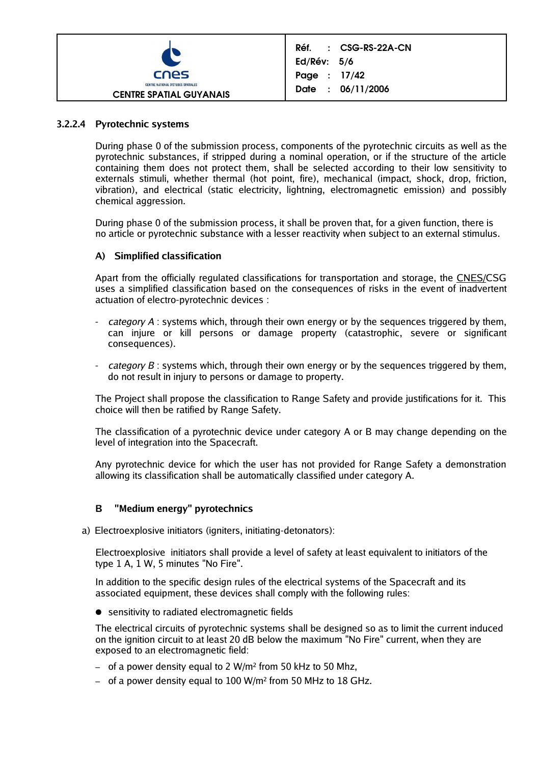

### **3.2.2.4 Pyrotechnic systems**

During phase 0 of the submission process, components of the pyrotechnic circuits as well as the pyrotechnic substances, if stripped during a nominal operation, or if the structure of the article containing them does not protect them, shall be selected according to their low sensitivity to externals stimuli, whether thermal (hot point, fire), mechanical (impact, shock, drop, friction, vibration), and electrical (static electricity, lightning, electromagnetic emission) and possibly chemical aggression.

During phase 0 of the submission process, it shall be proven that, for a given function, there is no article or pyrotechnic substance with a lesser reactivity when subject to an external stimulus.

### **A) Simplified classification**

Apart from the officially regulated classifications for transportation and storage, the CNES/CSG uses a simplified classification based on the consequences of risks in the event of inadvertent actuation of electro-pyrotechnic devices :

- category A : systems which, through their own energy or by the sequences triggered by them, can injure or kill persons or damage property (catastrophic, severe or significant consequences).
- category  $B$  : systems which, through their own energy or by the sequences triggered by them, do not result in injury to persons or damage to property.

The Project shall propose the classification to Range Safety and provide justifications for it. This choice will then be ratified by Range Safety.

The classification of a pyrotechnic device under category A or B may change depending on the level of integration into the Spacecraft.

Any pyrotechnic device for which the user has not provided for Range Safety a demonstration allowing its classification shall be automatically classified under category A.

#### **B "Medium energy" pyrotechnics**

a) Electroexplosive initiators (igniters, initiating-detonators):

Electroexplosive initiators shall provide a level of safety at least equivalent to initiators of the type 1 A, 1 W, 5 minutes "No Fire".

In addition to the specific design rules of the electrical systems of the Spacecraft and its associated equipment, these devices shall comply with the following rules:

● sensitivity to radiated electromagnetic fields

The electrical circuits of pyrotechnic systems shall be designed so as to limit the current induced on the ignition circuit to at least 20 dB below the maximum "No Fire" current, when they are exposed to an electromagnetic field:

- $-$  of a power density equal to 2 W/m<sup>2</sup> from 50 kHz to 50 Mhz,
- $-$  of a power density equal to 100 W/m<sup>2</sup> from 50 MHz to 18 GHz.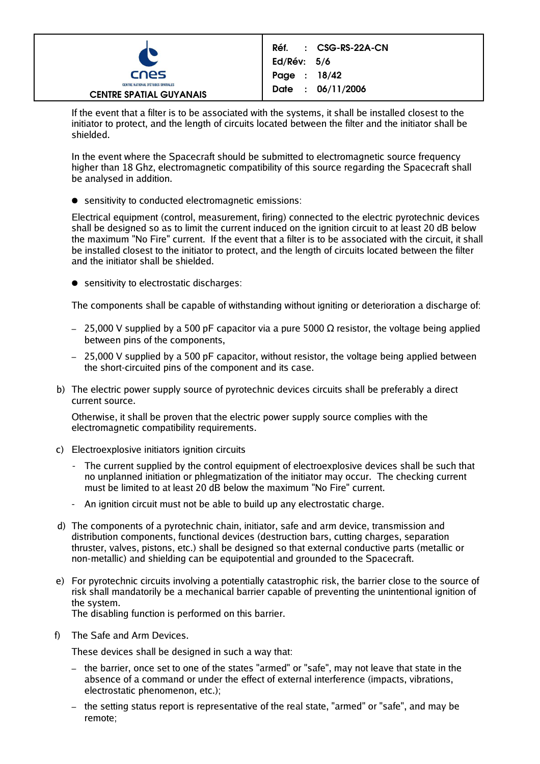

Réf. : CSG-RS-22A-CN Ed/Rév: 5/6 Page : 18/42 Date : 06/11/2006

If the event that a filter is to be associated with the systems, it shall be installed closest to the initiator to protect, and the length of circuits located between the filter and the initiator shall be shielded.

In the event where the Spacecraft should be submitted to electromagnetic source frequency higher than 18 Ghz, electromagnetic compatibility of this source regarding the Spacecraft shall be analysed in addition.

● sensitivity to conducted electromagnetic emissions:

Electrical equipment (control, measurement, firing) connected to the electric pyrotechnic devices shall be designed so as to limit the current induced on the ignition circuit to at least 20 dB below the maximum "No Fire" current. If the event that a filter is to be associated with the circuit, it shall be installed closest to the initiator to protect, and the length of circuits located between the filter and the initiator shall be shielded.

● sensitivity to electrostatic discharges:

The components shall be capable of withstanding without igniting or deterioration a discharge of:

- $-25,000$  V supplied by a 500 pF capacitor via a pure 5000 Ω resistor, the voltage being applied between pins of the components,
- 25,000 V supplied by a 500 pF capacitor, without resistor, the voltage being applied between the short-circuited pins of the component and its case.
- b) The electric power supply source of pyrotechnic devices circuits shall be preferably a direct current source.

Otherwise, it shall be proven that the electric power supply source complies with the electromagnetic compatibility requirements.

- c) Electroexplosive initiators ignition circuits
	- The current supplied by the control equipment of electroexplosive devices shall be such that no unplanned initiation or phlegmatization of the initiator may occur. The checking current must be limited to at least 20 dB below the maximum "No Fire" current.
	- An ignition circuit must not be able to build up any electrostatic charge.
- d) The components of a pyrotechnic chain, initiator, safe and arm device, transmission and distribution components, functional devices (destruction bars, cutting charges, separation thruster, valves, pistons, etc.) shall be designed so that external conductive parts (metallic or non-metallic) and shielding can be equipotential and grounded to the Spacecraft.
- e) For pyrotechnic circuits involving a potentially catastrophic risk, the barrier close to the source of risk shall mandatorily be a mechanical barrier capable of preventing the unintentional ignition of the system. The disabling function is performed on this barrier.
- f) The Safe and Arm Devices.

These devices shall be designed in such a way that:

- the barrier, once set to one of the states "armed" or "safe", may not leave that state in the absence of a command or under the effect of external interference (impacts, vibrations, electrostatic phenomenon, etc.);
- the setting status report is representative of the real state, "armed" or "safe", and may be remote;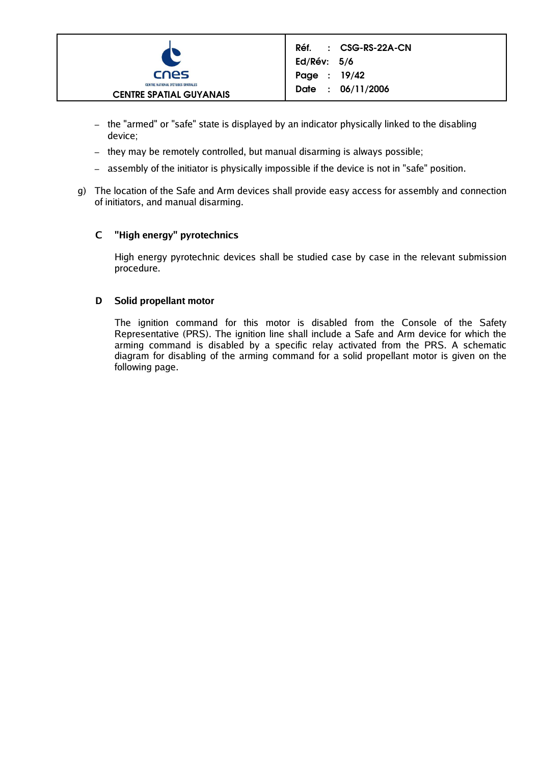

- the "armed" or "safe" state is displayed by an indicator physically linked to the disabling device;
- they may be remotely controlled, but manual disarming is always possible;
- assembly of the initiator is physically impossible if the device is not in "safe" position.
- g) The location of the Safe and Arm devices shall provide easy access for assembly and connection of initiators, and manual disarming.

## **C "High energy" pyrotechnics**

High energy pyrotechnic devices shall be studied case by case in the relevant submission procedure.

## **D Solid propellant motor**

The ignition command for this motor is disabled from the Console of the Safety Representative (PRS). The ignition line shall include a Safe and Arm device for which the arming command is disabled by a specific relay activated from the PRS. A schematic diagram for disabling of the arming command for a solid propellant motor is given on the following page.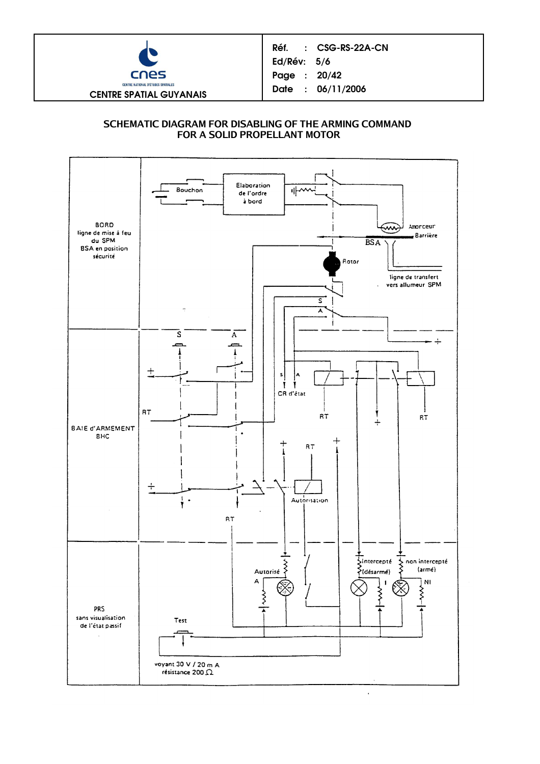

Réf. : CSG-RS-22A-CN Ed/Rév: 5/6 Page : 20/42 Date : 06/11/2006

### **SCHEMATIC DIAGRAM FOR DISABLING OF THE ARMING COMMAND FOR A SOLID PROPELLANT MOTOR**

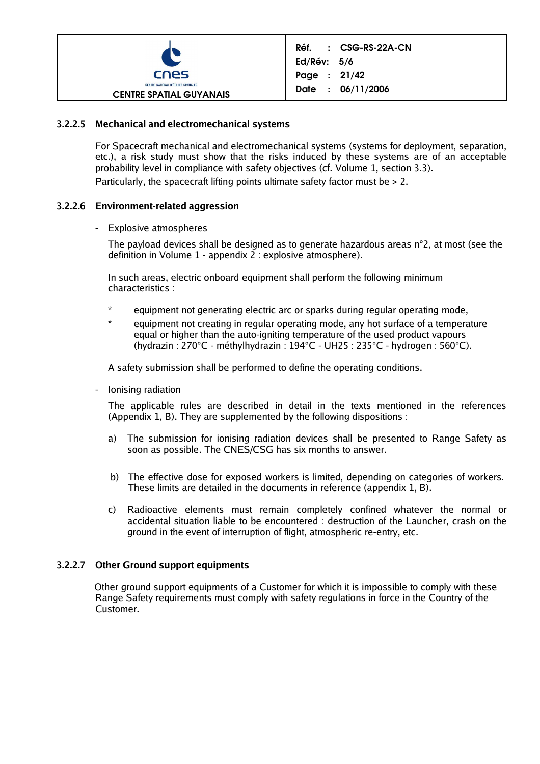

## **3.2.2.5 Mechanical and electromechanical systems**

For Spacecraft mechanical and electromechanical systems (systems for deployment, separation, etc.), a risk study must show that the risks induced by these systems are of an acceptable probability level in compliance with safety objectives (cf. Volume 1, section 3.3). Particularly, the spacecraft lifting points ultimate safety factor must be > 2.

## **3.2.2.6 Environment-related aggression**

- Explosive atmospheres

The payload devices shall be designed as to generate hazardous areas n°2, at most (see the definition in Volume 1 - appendix 2 : explosive atmosphere).

In such areas, electric onboard equipment shall perform the following minimum characteristics :

- \* equipment not generating electric arc or sparks during regular operating mode,
- \* equipment not creating in regular operating mode, any hot surface of a temperature equal or higher than the auto-igniting temperature of the used product vapours (hydrazin : 270°C - méthylhydrazin : 194°C - UH25 : 235°C - hydrogen : 560°C).

A safety submission shall be performed to define the operating conditions.

- Ionising radiation

The applicable rules are described in detail in the texts mentioned in the references (Appendix 1, B). They are supplemented by the following dispositions :

- a) The submission for ionising radiation devices shall be presented to Range Safety as soon as possible. The CNES/CSG has six months to answer.
- b) The effective dose for exposed workers is limited, depending on categories of workers. These limits are detailed in the documents in reference (appendix 1, B).
- c) Radioactive elements must remain completely confined whatever the normal or accidental situation liable to be encountered : destruction of the Launcher, crash on the ground in the event of interruption of flight, atmospheric re-entry, etc.

## **3.2.2.7 Other Ground support equipments**

 Other ground support equipments of a Customer for which it is impossible to comply with these Range Safety requirements must comply with safety regulations in force in the Country of the Customer.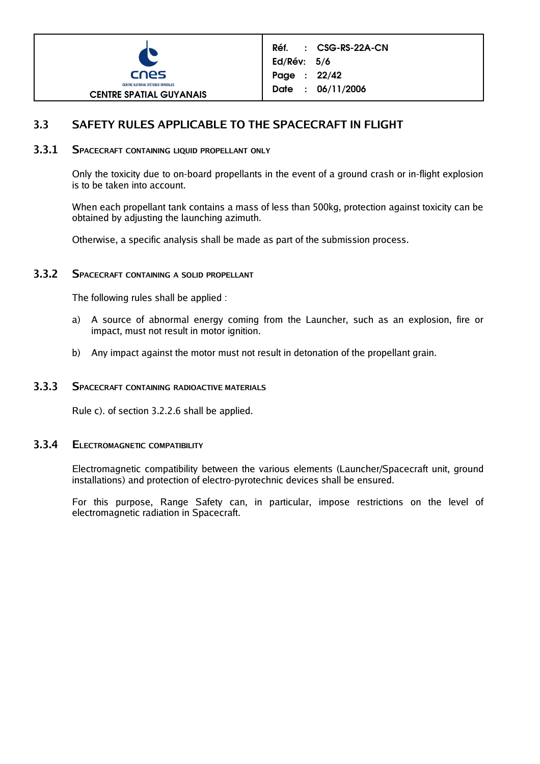

## **3.3 SAFETY RULES APPLICABLE TO THE SPACECRAFT IN FLIGHT**

### **3.3.1 SPACECRAFT CONTAINING LIQUID PROPELLANT ONLY**

Only the toxicity due to on-board propellants in the event of a ground crash or in-flight explosion is to be taken into account.

When each propellant tank contains a mass of less than 500kg, protection against toxicity can be obtained by adjusting the launching azimuth.

Otherwise, a specific analysis shall be made as part of the submission process.

### **3.3.2 SPACECRAFT CONTAINING <sup>A</sup> SOLID PROPELLANT**

The following rules shall be applied :

- a) A source of abnormal energy coming from the Launcher, such as an explosion, fire or impact, must not result in motor ignition.
- b) Any impact against the motor must not result in detonation of the propellant grain.

## **3.3.3 SPACECRAFT CONTAINING RADIOACTIVE MATERIALS**

Rule c). of section 3.2.2.6 shall be applied.

## **3.3.4 ELECTROMAGNETIC COMPATIBILITY**

Electromagnetic compatibility between the various elements (Launcher/Spacecraft unit, ground installations) and protection of electro-pyrotechnic devices shall be ensured.

For this purpose, Range Safety can, in particular, impose restrictions on the level of electromagnetic radiation in Spacecraft.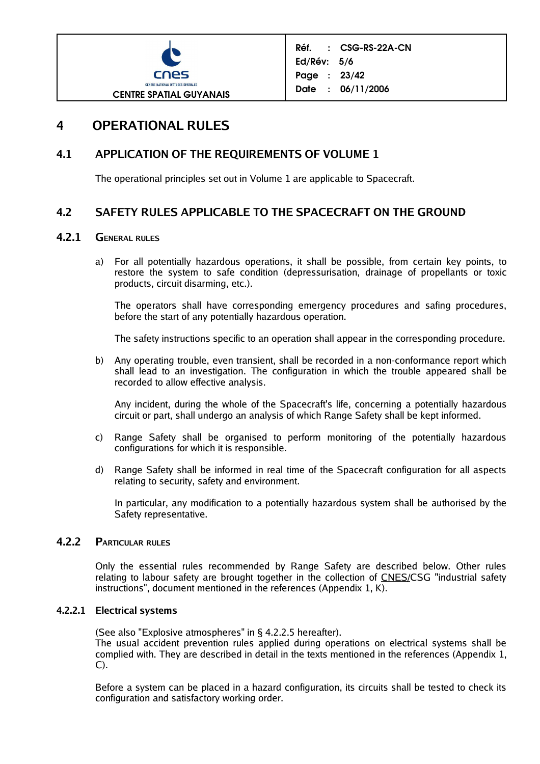

## **4 OPERATIONAL RULES**

## **4.1 APPLICATION OF THE REQUIREMENTS OF VOLUME 1**

The operational principles set out in Volume 1 are applicable to Spacecraft.

## **4.2 SAFETY RULES APPLICABLE TO THE SPACECRAFT ON THE GROUND**

## **4.2.1 GENERAL RULES**

a) For all potentially hazardous operations, it shall be possible, from certain key points, to restore the system to safe condition (depressurisation, drainage of propellants or toxic products, circuit disarming, etc.).

The operators shall have corresponding emergency procedures and safing procedures, before the start of any potentially hazardous operation.

The safety instructions specific to an operation shall appear in the corresponding procedure.

b) Any operating trouble, even transient, shall be recorded in a non-conformance report which shall lead to an investigation. The configuration in which the trouble appeared shall be recorded to allow effective analysis.

Any incident, during the whole of the Spacecraft's life, concerning a potentially hazardous circuit or part, shall undergo an analysis of which Range Safety shall be kept informed.

- c) Range Safety shall be organised to perform monitoring of the potentially hazardous configurations for which it is responsible.
- d) Range Safety shall be informed in real time of the Spacecraft configuration for all aspects relating to security, safety and environment.

In particular, any modification to a potentially hazardous system shall be authorised by the Safety representative.

## **4.2.2 PARTICULAR RULES**

Only the essential rules recommended by Range Safety are described below. Other rules relating to labour safety are brought together in the collection of CNES/CSG "industrial safety instructions", document mentioned in the references (Appendix 1, K).

## **4.2.2.1 Electrical systems**

(See also "Explosive atmospheres" in § 4.2.2.5 hereafter).

The usual accident prevention rules applied during operations on electrical systems shall be complied with. They are described in detail in the texts mentioned in the references (Appendix 1, C).

Before a system can be placed in a hazard configuration, its circuits shall be tested to check its configuration and satisfactory working order.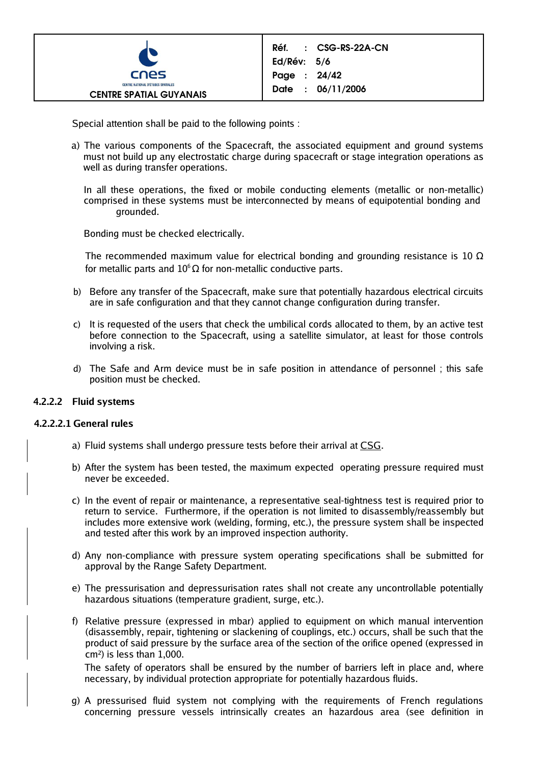

Special attention shall be paid to the following points :

a) The various components of the Spacecraft, the associated equipment and ground systems must not build up any electrostatic charge during spacecraft or stage integration operations as well as during transfer operations.

In all these operations, the fixed or mobile conducting elements (metallic or non-metallic) comprised in these systems must be interconnected by means of equipotential bonding and grounded.

Bonding must be checked electrically.

The recommended maximum value for electrical bonding and grounding resistance is 10  $\Omega$ for metallic parts and  $10^6 \Omega$  for non-metallic conductive parts.

- b) Before any transfer of the Spacecraft, make sure that potentially hazardous electrical circuits are in safe configuration and that they cannot change configuration during transfer.
- c) It is requested of the users that check the umbilical cords allocated to them, by an active test before connection to the Spacecraft, using a satellite simulator, at least for those controls involving a risk.
- d) The Safe and Arm device must be in safe position in attendance of personnel ; this safe position must be checked.

## **4.2.2.2 Fluid systems**

#### **4.2.2.2.1 General rules**

- a) Fluid systems shall undergo pressure tests before their arrival at CSG.
- b) After the system has been tested, the maximum expected operating pressure required must never be exceeded.
- c) In the event of repair or maintenance, a representative seal-tightness test is required prior to return to service. Furthermore, if the operation is not limited to disassembly/reassembly but includes more extensive work (welding, forming, etc.), the pressure system shall be inspected and tested after this work by an improved inspection authority.
- d) Any non-compliance with pressure system operating specifications shall be submitted for approval by the Range Safety Department.
- e) The pressurisation and depressurisation rates shall not create any uncontrollable potentially hazardous situations (temperature gradient, surge, etc.).
- f) Relative pressure (expressed in mbar) applied to equipment on which manual intervention (disassembly, repair, tightening or slackening of couplings, etc.) occurs, shall be such that the product of said pressure by the surface area of the section of the orifice opened (expressed in cm²) is less than 1,000.

The safety of operators shall be ensured by the number of barriers left in place and, where necessary, by individual protection appropriate for potentially hazardous fluids.

g) A pressurised fluid system not complying with the requirements of French regulations concerning pressure vessels intrinsically creates an hazardous area (see definition in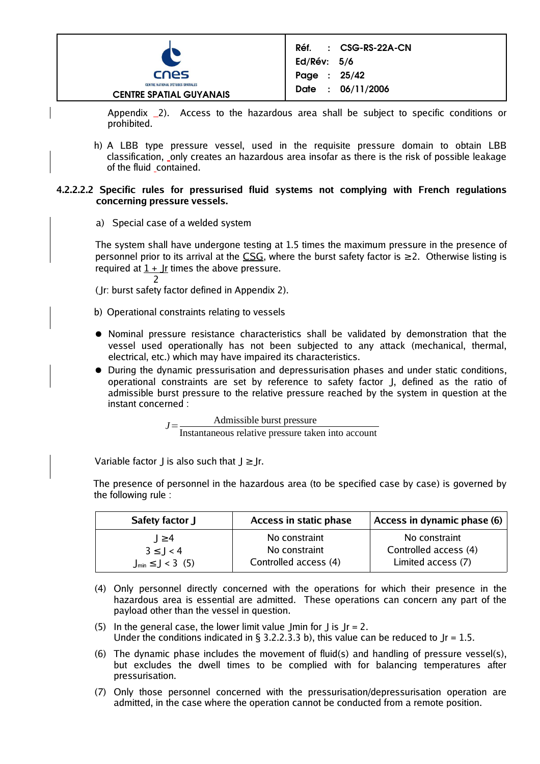

Appendix 2). Access to the hazardous area shall be subject to specific conditions or prohibited.

h) A LBB type pressure vessel, used in the requisite pressure domain to obtain LBB classification, only creates an hazardous area insofar as there is the risk of possible leakage of the fluid contained.

#### **4.2.2.2.2 Specific rules for pressurised fluid systems not complying with French regulations concerning pressure vessels.**

a) Special case of a welded system

The system shall have undergone testing at 1.5 times the maximum pressure in the presence of personnel prior to its arrival at the CSG, where the burst safety factor is  $\geq 2$ . Otherwise listing is required at  $1 +$  Jr times the above pressure.

 2 (Jr: burst safety factor defined in Appendix 2).

- b) Operational constraints relating to vessels
- Nominal pressure resistance characteristics shall be validated by demonstration that the vessel used operationally has not been subjected to any attack (mechanical, thermal, electrical, etc.) which may have impaired its characteristics.
- During the dynamic pressurisation and depressurisation phases and under static conditions, operational constraints are set by reference to safety factor J, defined as the ratio of admissible burst pressure to the relative pressure reached by the system in question at the instant concerned :

*J*= Admissible burst pressure Instantaneous relative pressure taken into account

Variable factor J is also such that  $J \geq Jr$ .

The presence of personnel in the hazardous area (to be specified case by case) is governed by the following rule :

| Safety factor J                | Access in static phase | Access in dynamic phase (6) |
|--------------------------------|------------------------|-----------------------------|
| $1 \geq 4$                     | No constraint          | No constraint               |
| $3 \leq J < 4$                 | No constraint          | Controlled access (4)       |
| $J_{\text{min}} \le J < 3$ (5) | Controlled access (4)  | Limited access (7)          |

- (4) Only personnel directly concerned with the operations for which their presence in the hazardous area is essential are admitted. These operations can concern any part of the payload other than the vessel in question.
- (5) In the general case, the lower limit value Jmin for  $J$  is  $Jr = 2$ . Under the conditions indicated in § 3.2.2.3.3 b), this value can be reduced to Jr = 1.5.
- (6) The dynamic phase includes the movement of fluid(s) and handling of pressure vessel(s), but excludes the dwell times to be complied with for balancing temperatures after pressurisation.
- (7) Only those personnel concerned with the pressurisation/depressurisation operation are admitted, in the case where the operation cannot be conducted from a remote position.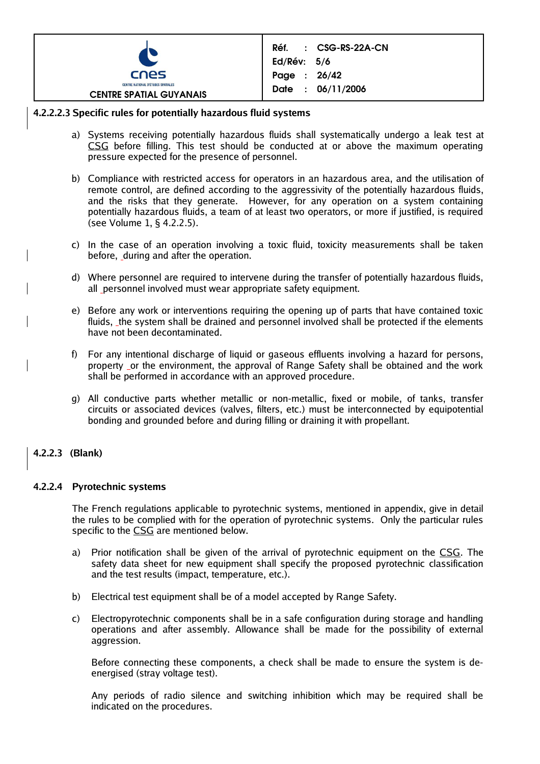

#### **4.2.2.2.3 Specific rules for potentially hazardous fluid systems**

- a) Systems receiving potentially hazardous fluids shall systematically undergo a leak test at CSG before filling. This test should be conducted at or above the maximum operating pressure expected for the presence of personnel.
- b) Compliance with restricted access for operators in an hazardous area, and the utilisation of remote control, are defined according to the aggressivity of the potentially hazardous fluids, and the risks that they generate. However, for any operation on a system containing potentially hazardous fluids, a team of at least two operators, or more if justified, is required (see Volume 1, § 4.2.2.5).
- c) In the case of an operation involving a toxic fluid, toxicity measurements shall be taken before, during and after the operation.
- d) Where personnel are required to intervene during the transfer of potentially hazardous fluids, all personnel involved must wear appropriate safety equipment.
- e) Before any work or interventions requiring the opening up of parts that have contained toxic fluids, the system shall be drained and personnel involved shall be protected if the elements have not been decontaminated.
- f) For any intentional discharge of liquid or gaseous effluents involving a hazard for persons, property or the environment, the approval of Range Safety shall be obtained and the work shall be performed in accordance with an approved procedure.
- g) All conductive parts whether metallic or non-metallic, fixed or mobile, of tanks, transfer circuits or associated devices (valves, filters, etc.) must be interconnected by equipotential bonding and grounded before and during filling or draining it with propellant.

## **4.2.2.3 (Blank)**

#### **4.2.2.4 Pyrotechnic systems**

The French regulations applicable to pyrotechnic systems, mentioned in appendix, give in detail the rules to be complied with for the operation of pyrotechnic systems. Only the particular rules specific to the CSG are mentioned below.

- a) Prior notification shall be given of the arrival of pyrotechnic equipment on the CSG. The safety data sheet for new equipment shall specify the proposed pyrotechnic classification and the test results (impact, temperature, etc.).
- b) Electrical test equipment shall be of a model accepted by Range Safety.
- c) Electropyrotechnic components shall be in a safe configuration during storage and handling operations and after assembly. Allowance shall be made for the possibility of external aggression.

Before connecting these components, a check shall be made to ensure the system is deenergised (stray voltage test).

Any periods of radio silence and switching inhibition which may be required shall be indicated on the procedures.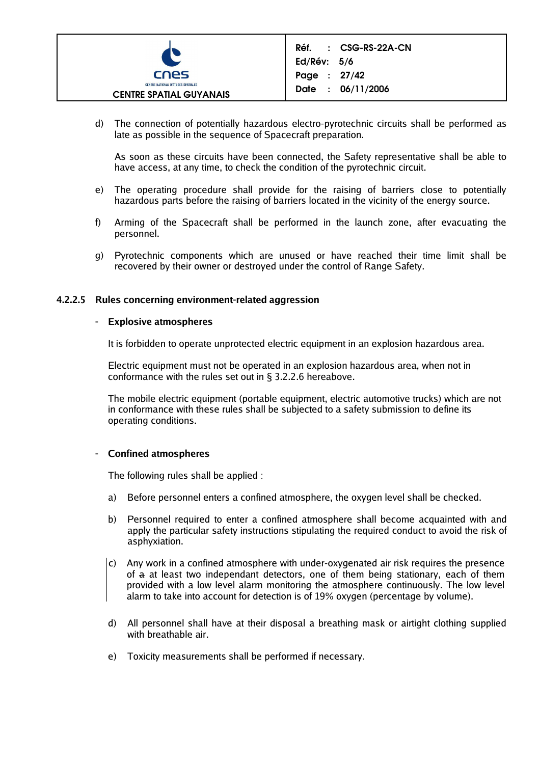

d) The connection of potentially hazardous electro-pyrotechnic circuits shall be performed as late as possible in the sequence of Spacecraft preparation.

As soon as these circuits have been connected, the Safety representative shall be able to have access, at any time, to check the condition of the pyrotechnic circuit.

- e) The operating procedure shall provide for the raising of barriers close to potentially hazardous parts before the raising of barriers located in the vicinity of the energy source.
- f) Arming of the Spacecraft shall be performed in the launch zone, after evacuating the personnel.
- g) Pyrotechnic components which are unused or have reached their time limit shall be recovered by their owner or destroyed under the control of Range Safety.

#### **4.2.2.5 Rules concerning environment-related aggression**

#### **- Explosive atmospheres**

It is forbidden to operate unprotected electric equipment in an explosion hazardous area.

Electric equipment must not be operated in an explosion hazardous area, when not in conformance with the rules set out in § 3.2.2.6 hereabove.

The mobile electric equipment (portable equipment, electric automotive trucks) which are not in conformance with these rules shall be subjected to a safety submission to define its operating conditions.

#### **- Confined atmospheres**

The following rules shall be applied :

- a) Before personnel enters a confined atmosphere, the oxygen level shall be checked.
- b) Personnel required to enter a confined atmosphere shall become acquainted with and apply the particular safety instructions stipulating the required conduct to avoid the risk of asphyxiation.
- $|c\rangle$  Any work in a confined atmosphere with under-oxygenated air risk requires the presence of a at least two independant detectors, one of them being stationary, each of them provided with a low level alarm monitoring the atmosphere continuously. The low level alarm to take into account for detection is of 19% oxygen (percentage by volume).
- d) All personnel shall have at their disposal a breathing mask or airtight clothing supplied with breathable air.
- e) Toxicity measurements shall be performed if necessary.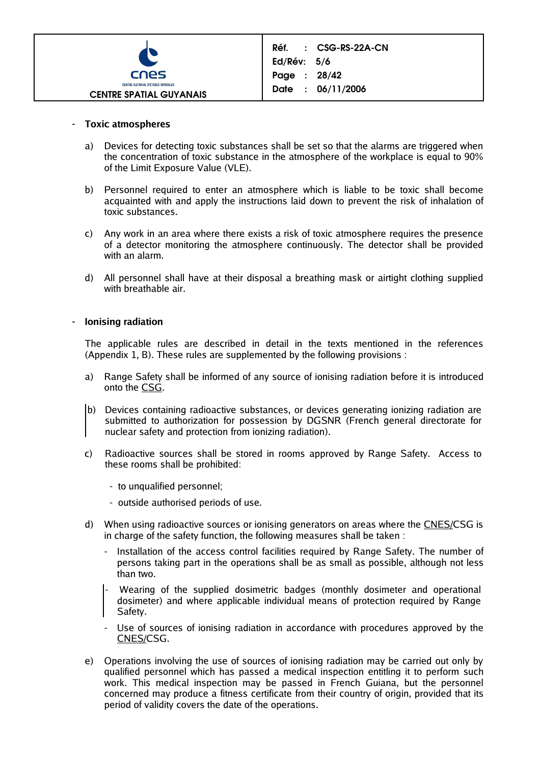

#### **- Toxic atmospheres**

- a) Devices for detecting toxic substances shall be set so that the alarms are triggered when the concentration of toxic substance in the atmosphere of the workplace is equal to 90% of the Limit Exposure Value (VLE).
- b) Personnel required to enter an atmosphere which is liable to be toxic shall become acquainted with and apply the instructions laid down to prevent the risk of inhalation of toxic substances.
- c) Any work in an area where there exists a risk of toxic atmosphere requires the presence of a detector monitoring the atmosphere continuously. The detector shall be provided with an alarm.
- d) All personnel shall have at their disposal a breathing mask or airtight clothing supplied with breathable air.

#### **- Ionising radiation**

The applicable rules are described in detail in the texts mentioned in the references (Appendix 1, B). These rules are supplemented by the following provisions :

- a) Range Safety shall be informed of any source of ionising radiation before it is introduced onto the CSG.
- b) Devices containing radioactive substances, or devices generating ionizing radiation are submitted to authorization for possession by DGSNR (French general directorate for nuclear safety and protection from ionizing radiation).
- c) Radioactive sources shall be stored in rooms approved by Range Safety. Access to these rooms shall be prohibited:
	- to unqualified personnel;
	- outside authorised periods of use.
- d) When using radioactive sources or ionising generators on areas where the CNES/CSG is in charge of the safety function, the following measures shall be taken :
	- Installation of the access control facilities required by Range Safety. The number of persons taking part in the operations shall be as small as possible, although not less than two.
	- Wearing of the supplied dosimetric badges (monthly dosimeter and operational dosimeter) and where applicable individual means of protection required by Range Safety.
	- Use of sources of ionising radiation in accordance with procedures approved by the CNES/CSG.
- e) Operations involving the use of sources of ionising radiation may be carried out only by qualified personnel which has passed a medical inspection entitling it to perform such work. This medical inspection may be passed in French Guiana, but the personnel concerned may produce a fitness certificate from their country of origin, provided that its period of validity covers the date of the operations.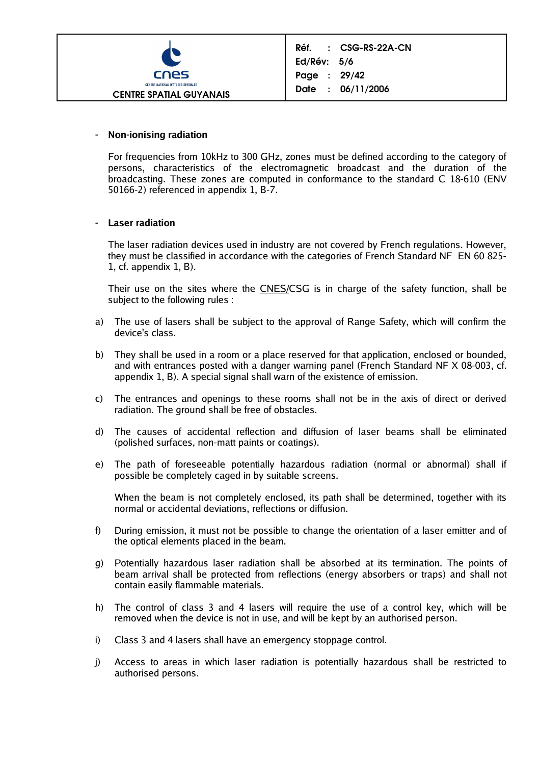

### **- Non-ionising radiation**

For frequencies from 10kHz to 300 GHz, zones must be defined according to the category of persons, characteristics of the electromagnetic broadcast and the duration of the broadcasting. These zones are computed in conformance to the standard C 18-610 (ENV 50166-2) referenced in appendix 1, B-7.

### **- Laser radiation**

The laser radiation devices used in industry are not covered by French regulations. However, they must be classified in accordance with the categories of French Standard NF EN 60 825- 1, cf. appendix 1, B).

Their use on the sites where the **CNES/CSG** is in charge of the safety function, shall be subject to the following rules :

- a) The use of lasers shall be subject to the approval of Range Safety, which will confirm the device's class.
- b) They shall be used in a room or a place reserved for that application, enclosed or bounded, and with entrances posted with a danger warning panel (French Standard NF X 08-003, cf. appendix 1, B). A special signal shall warn of the existence of emission.
- c) The entrances and openings to these rooms shall not be in the axis of direct or derived radiation. The ground shall be free of obstacles.
- d) The causes of accidental reflection and diffusion of laser beams shall be eliminated (polished surfaces, non-matt paints or coatings).
- e) The path of foreseeable potentially hazardous radiation (normal or abnormal) shall if possible be completely caged in by suitable screens.

When the beam is not completely enclosed, its path shall be determined, together with its normal or accidental deviations, reflections or diffusion.

- f) During emission, it must not be possible to change the orientation of a laser emitter and of the optical elements placed in the beam.
- g) Potentially hazardous laser radiation shall be absorbed at its termination. The points of beam arrival shall be protected from reflections (energy absorbers or traps) and shall not contain easily flammable materials.
- h) The control of class 3 and 4 lasers will require the use of a control key, which will be removed when the device is not in use, and will be kept by an authorised person.
- i) Class 3 and 4 lasers shall have an emergency stoppage control.
- j) Access to areas in which laser radiation is potentially hazardous shall be restricted to authorised persons.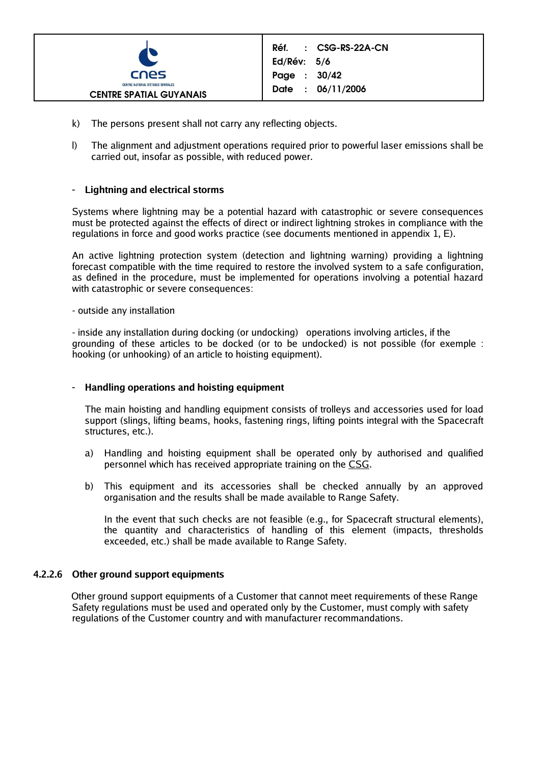

- k) The persons present shall not carry any reflecting objects.
- l) The alignment and adjustment operations required prior to powerful laser emissions shall be carried out, insofar as possible, with reduced power.

### **- Lightning and electrical storms**

Systems where lightning may be a potential hazard with catastrophic or severe consequences must be protected against the effects of direct or indirect lightning strokes in compliance with the regulations in force and good works practice (see documents mentioned in appendix  $1, E$ ).

An active lightning protection system (detection and lightning warning) providing a lightning forecast compatible with the time required to restore the involved system to a safe configuration, as defined in the procedure, must be implemented for operations involving a potential hazard with catastrophic or severe consequences:

- outside any installation

- inside any installation during docking (or undocking) operations involving articles, if the grounding of these articles to be docked (or to be undocked) is not possible (for exemple : hooking (or unhooking) of an article to hoisting equipment).

#### **- Handling operations and hoisting equipment**

The main hoisting and handling equipment consists of trolleys and accessories used for load support (slings, lifting beams, hooks, fastening rings, lifting points integral with the Spacecraft structures, etc.).

- a) Handling and hoisting equipment shall be operated only by authorised and qualified personnel which has received appropriate training on the CSG.
- b) This equipment and its accessories shall be checked annually by an approved organisation and the results shall be made available to Range Safety.

In the event that such checks are not feasible (e.g., for Spacecraft structural elements), the quantity and characteristics of handling of this element (impacts, thresholds exceeded, etc.) shall be made available to Range Safety.

#### **4.2.2.6 Other ground support equipments**

 Other ground support equipments of a Customer that cannot meet requirements of these Range Safety regulations must be used and operated only by the Customer, must comply with safety regulations of the Customer country and with manufacturer recommandations.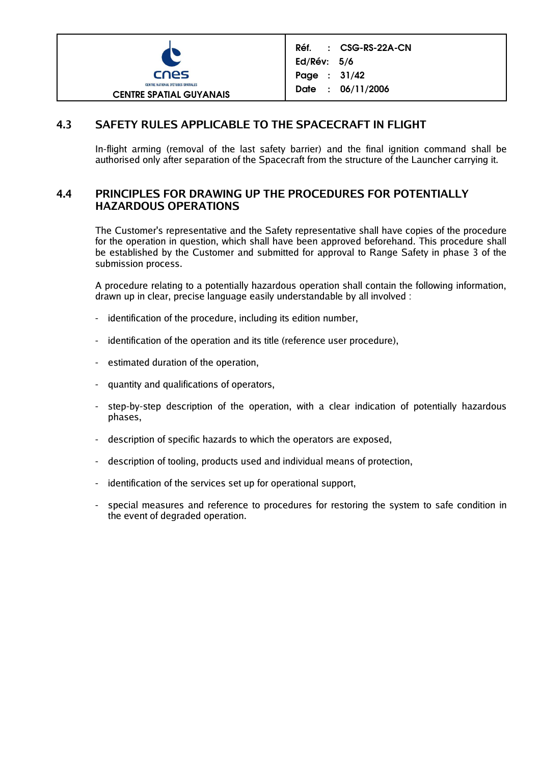

Réf. : CSG-RS-22A-CN Ed/Rév: 5/6 Page : 31/42 Date : 06/11/2006

## **4.3 SAFETY RULES APPLICABLE TO THE SPACECRAFT IN FLIGHT**

In-flight arming (removal of the last safety barrier) and the final ignition command shall be authorised only after separation of the Spacecraft from the structure of the Launcher carrying it.

## **4.4 PRINCIPLES FOR DRAWING UP THE PROCEDURES FOR POTENTIALLY HAZARDOUS OPERATIONS**

The Customer's representative and the Safety representative shall have copies of the procedure for the operation in question, which shall have been approved beforehand. This procedure shall be established by the Customer and submitted for approval to Range Safety in phase 3 of the submission process.

A procedure relating to a potentially hazardous operation shall contain the following information, drawn up in clear, precise language easily understandable by all involved :

- identification of the procedure, including its edition number,
- identification of the operation and its title (reference user procedure),
- estimated duration of the operation,
- quantity and qualifications of operators,
- step-by-step description of the operation, with a clear indication of potentially hazardous phases,
- description of specific hazards to which the operators are exposed,
- description of tooling, products used and individual means of protection,
- identification of the services set up for operational support,
- special measures and reference to procedures for restoring the system to safe condition in the event of degraded operation.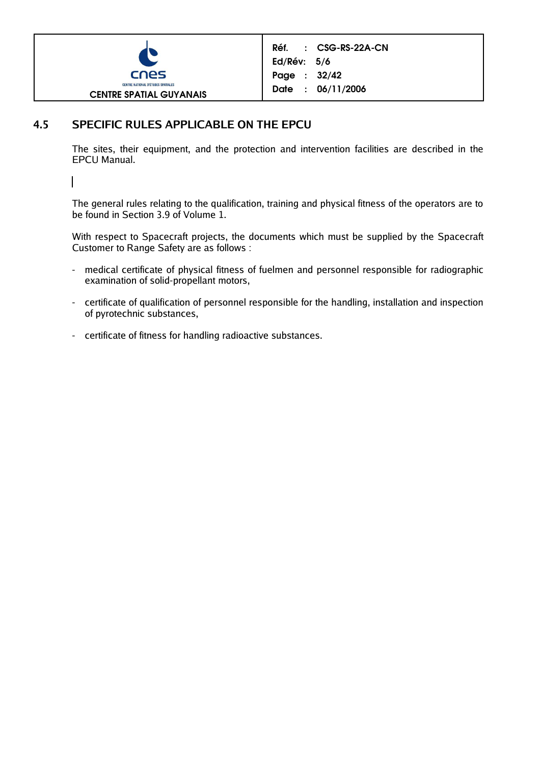

## **4.5 SPECIFIC RULES APPLICABLE ON THE EPCU**

The sites, their equipment, and the protection and intervention facilities are described in the EPCU Manual.

 $\mathsf{I}$ 

The general rules relating to the qualification, training and physical fitness of the operators are to be found in Section 3.9 of Volume 1.

With respect to Spacecraft projects, the documents which must be supplied by the Spacecraft Customer to Range Safety are as follows :

- medical certificate of physical fitness of fuelmen and personnel responsible for radiographic examination of solid-propellant motors,
- certificate of qualification of personnel responsible for the handling, installation and inspection of pyrotechnic substances,
- certificate of fitness for handling radioactive substances.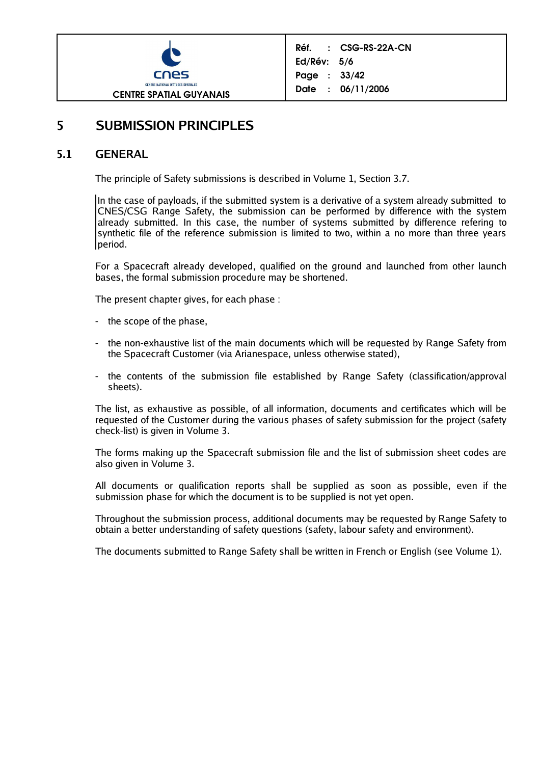

## **5 SUBMISSION PRINCIPLES**

## **5.1 GENERAL**

The principle of Safety submissions is described in Volume 1, Section 3.7.

In the case of payloads, if the submitted system is a derivative of a system already submitted to CNES/CSG Range Safety, the submission can be performed by difference with the system already submitted. In this case, the number of systems submitted by difference refering to synthetic file of the reference submission is limited to two, within a no more than three years period.

For a Spacecraft already developed, qualified on the ground and launched from other launch bases, the formal submission procedure may be shortened.

The present chapter gives, for each phase :

- the scope of the phase,
- the non-exhaustive list of the main documents which will be requested by Range Safety from the Spacecraft Customer (via Arianespace, unless otherwise stated),
- the contents of the submission file established by Range Safety (classification/approval sheets).

The list, as exhaustive as possible, of all information, documents and certificates which will be requested of the Customer during the various phases of safety submission for the project (safety check-list) is given in Volume 3.

The forms making up the Spacecraft submission file and the list of submission sheet codes are also given in Volume 3.

All documents or qualification reports shall be supplied as soon as possible, even if the submission phase for which the document is to be supplied is not yet open.

Throughout the submission process, additional documents may be requested by Range Safety to obtain a better understanding of safety questions (safety, labour safety and environment).

The documents submitted to Range Safety shall be written in French or English (see Volume 1).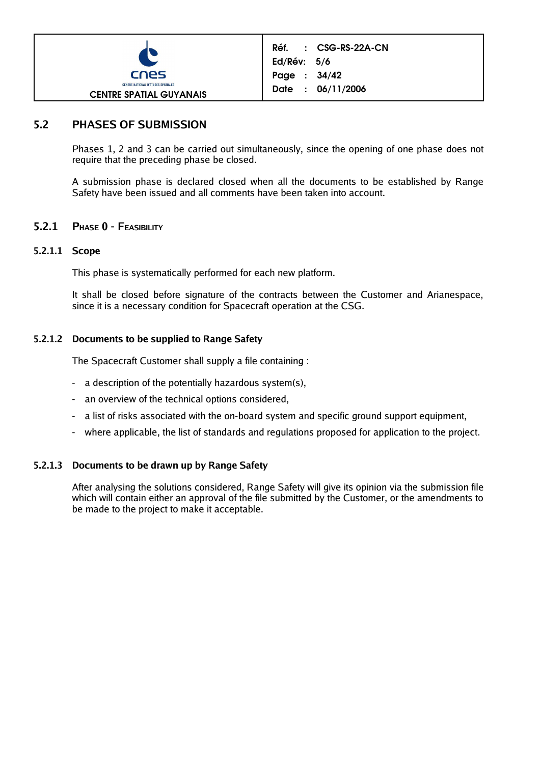

## **5.2 PHASES OF SUBMISSION**

Phases 1, 2 and 3 can be carried out simultaneously, since the opening of one phase does not require that the preceding phase be closed.

A submission phase is declared closed when all the documents to be established by Range Safety have been issued and all comments have been taken into account.

**5.2.1 PHASE 0 - FEASIBILITY**

#### **5.2.1.1 Scope**

This phase is systematically performed for each new platform.

It shall be closed before signature of the contracts between the Customer and Arianespace, since it is a necessary condition for Spacecraft operation at the CSG.

#### **5.2.1.2 Documents to be supplied to Range Safety**

The Spacecraft Customer shall supply a file containing :

- a description of the potentially hazardous system(s),
- an overview of the technical options considered,
- a list of risks associated with the on-board system and specific ground support equipment,
- where applicable, the list of standards and regulations proposed for application to the project.

#### **5.2.1.3 Documents to be drawn up by Range Safety**

After analysing the solutions considered, Range Safety will give its opinion via the submission file which will contain either an approval of the file submitted by the Customer, or the amendments to be made to the project to make it acceptable.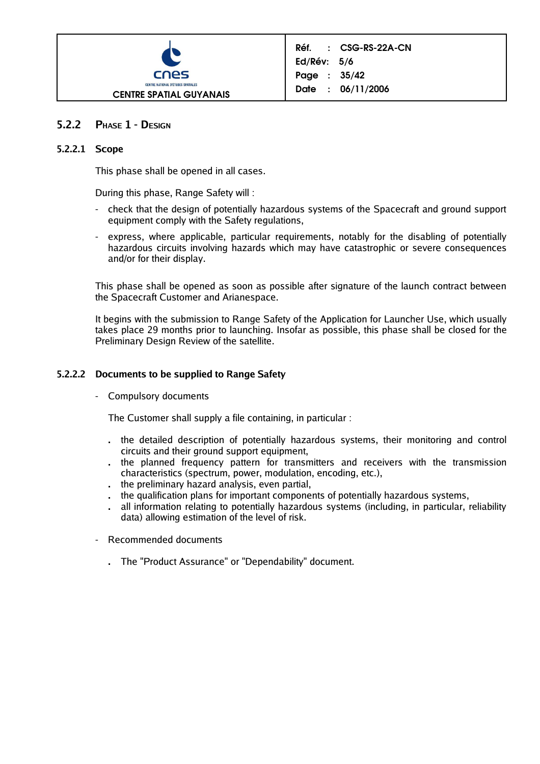

## **5.2.2 PHASE 1 - DESIGN**

#### **5.2.2.1 Scope**

This phase shall be opened in all cases.

During this phase, Range Safety will :

- check that the design of potentially hazardous systems of the Spacecraft and ground support equipment comply with the Safety regulations,
- express, where applicable, particular requirements, notably for the disabling of potentially hazardous circuits involving hazards which may have catastrophic or severe consequences and/or for their display.

This phase shall be opened as soon as possible after signature of the launch contract between the Spacecraft Customer and Arianespace.

It begins with the submission to Range Safety of the Application for Launcher Use, which usually takes place 29 months prior to launching. Insofar as possible, this phase shall be closed for the Preliminary Design Review of the satellite.

### **5.2.2.2 Documents to be supplied to Range Safety**

- Compulsory documents

The Customer shall supply a file containing, in particular :

- **.** the detailed description of potentially hazardous systems, their monitoring and control circuits and their ground support equipment,
- **.** the planned frequency pattern for transmitters and receivers with the transmission characteristics (spectrum, power, modulation, encoding, etc.),
- **.** the preliminary hazard analysis, even partial,
- **.** the qualification plans for important components of potentially hazardous systems,
- **.** all information relating to potentially hazardous systems (including, in particular, reliability data) allowing estimation of the level of risk.
- Recommended documents
	- **.** The "Product Assurance" or "Dependability" document.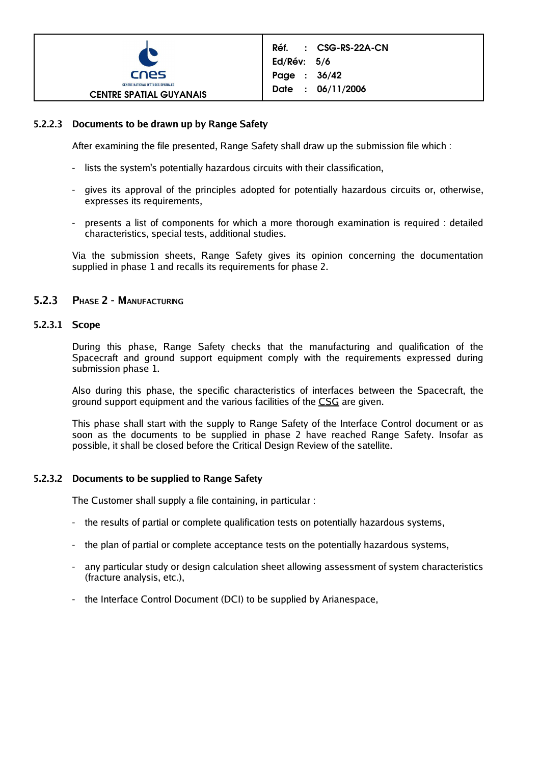

## **5.2.2.3 Documents to be drawn up by Range Safety**

After examining the file presented, Range Safety shall draw up the submission file which :

- lists the system's potentially hazardous circuits with their classification,
- gives its approval of the principles adopted for potentially hazardous circuits or, otherwise, expresses its requirements,
- presents a list of components for which a more thorough examination is required : detailed characteristics, special tests, additional studies.

Via the submission sheets, Range Safety gives its opinion concerning the documentation supplied in phase 1 and recalls its requirements for phase 2.

### **5.2.3 PHASE 2 - MANUFACTURING**

#### **5.2.3.1 Scope**

During this phase, Range Safety checks that the manufacturing and qualification of the Spacecraft and ground support equipment comply with the requirements expressed during submission phase 1.

Also during this phase, the specific characteristics of interfaces between the Spacecraft, the ground support equipment and the various facilities of the CSG are given.

This phase shall start with the supply to Range Safety of the Interface Control document or as soon as the documents to be supplied in phase 2 have reached Range Safety. Insofar as possible, it shall be closed before the Critical Design Review of the satellite.

#### **5.2.3.2 Documents to be supplied to Range Safety**

The Customer shall supply a file containing, in particular :

- the results of partial or complete qualification tests on potentially hazardous systems,
- the plan of partial or complete acceptance tests on the potentially hazardous systems,
- any particular study or design calculation sheet allowing assessment of system characteristics (fracture analysis, etc.),
- the Interface Control Document (DCI) to be supplied by Arianespace,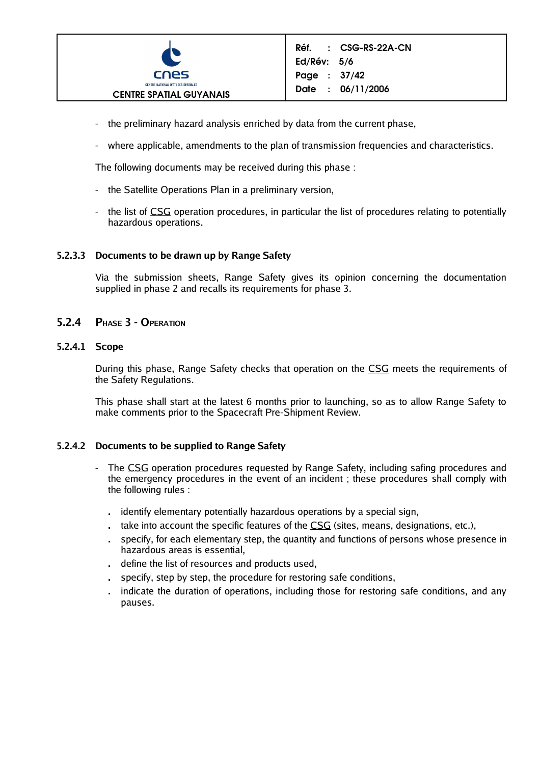

- the preliminary hazard analysis enriched by data from the current phase,
- where applicable, amendments to the plan of transmission frequencies and characteristics.

The following documents may be received during this phase :

- the Satellite Operations Plan in a preliminary version,
- the list of CSG operation procedures, in particular the list of procedures relating to potentially hazardous operations.

## **5.2.3.3 Documents to be drawn up by Range Safety**

Via the submission sheets, Range Safety gives its opinion concerning the documentation supplied in phase 2 and recalls its requirements for phase 3.

## **5.2.4 PHASE 3 - OPERATION**

### **5.2.4.1 Scope**

During this phase, Range Safety checks that operation on the CSG meets the requirements of the Safety Regulations.

This phase shall start at the latest 6 months prior to launching, so as to allow Range Safety to make comments prior to the Spacecraft Pre-Shipment Review.

## **5.2.4.2 Documents to be supplied to Range Safety**

- The CSG operation procedures requested by Range Safety, including safing procedures and the emergency procedures in the event of an incident ; these procedures shall comply with the following rules :
	- **.** identify elementary potentially hazardous operations by a special sign,
	- **.** take into account the specific features of the CSG (sites, means, designations, etc.),
	- **.** specify, for each elementary step, the quantity and functions of persons whose presence in hazardous areas is essential,
	- **.** define the list of resources and products used,
	- **.** specify, step by step, the procedure for restoring safe conditions,
	- **.** indicate the duration of operations, including those for restoring safe conditions, and any pauses.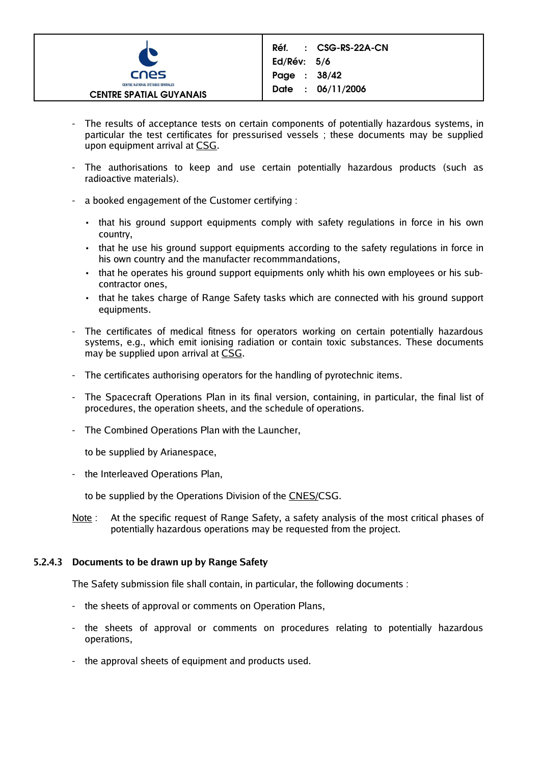

- The results of acceptance tests on certain components of potentially hazardous systems, in particular the test certificates for pressurised vessels ; these documents may be supplied upon equipment arrival at CSG.
- The authorisations to keep and use certain potentially hazardous products (such as radioactive materials).
- a booked engagement of the Customer certifying :
	- that his ground support equipments comply with safety regulations in force in his own country,
	- that he use his ground support equipments according to the safety regulations in force in his own country and the manufacter recommmandations,
	- that he operates his ground support equipments only whith his own employees or his subcontractor ones,
	- that he takes charge of Range Safety tasks which are connected with his ground support equipments.
- The certificates of medical fitness for operators working on certain potentially hazardous systems, e.g., which emit ionising radiation or contain toxic substances. These documents may be supplied upon arrival at CSG.
- The certificates authorising operators for the handling of pyrotechnic items.
- The Spacecraft Operations Plan in its final version, containing, in particular, the final list of procedures, the operation sheets, and the schedule of operations.
- The Combined Operations Plan with the Launcher,

to be supplied by Arianespace,

- the Interleaved Operations Plan,

to be supplied by the Operations Division of the CNES/CSG.

Note : At the specific request of Range Safety, a safety analysis of the most critical phases of potentially hazardous operations may be requested from the project.

#### **5.2.4.3 Documents to be drawn up by Range Safety**

The Safety submission file shall contain, in particular, the following documents :

- the sheets of approval or comments on Operation Plans,
- the sheets of approval or comments on procedures relating to potentially hazardous operations,
- the approval sheets of equipment and products used.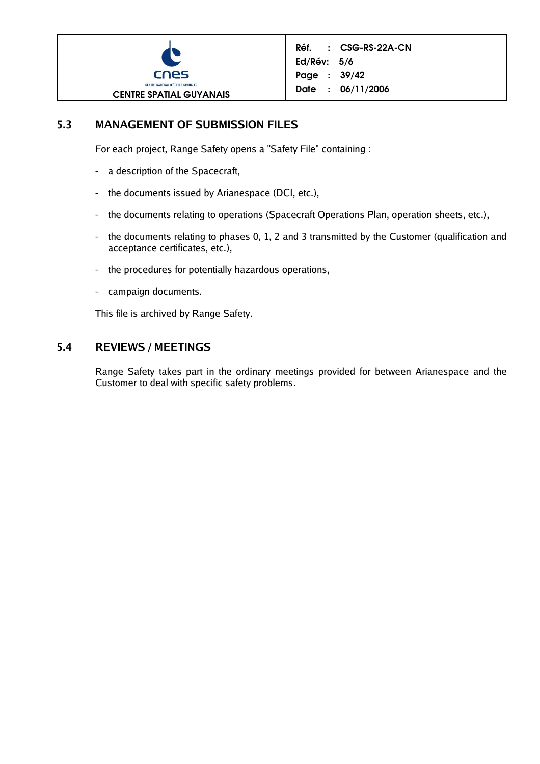

## **5.3 MANAGEMENT OF SUBMISSION FILES**

For each project, Range Safety opens a "Safety File" containing :

- a description of the Spacecraft,
- the documents issued by Arianespace (DCI, etc.),
- the documents relating to operations (Spacecraft Operations Plan, operation sheets, etc.),
- the documents relating to phases 0, 1, 2 and 3 transmitted by the Customer (qualification and acceptance certificates, etc.),
- the procedures for potentially hazardous operations,
- campaign documents.

This file is archived by Range Safety.

## **5.4 REVIEWS / MEETINGS**

Range Safety takes part in the ordinary meetings provided for between Arianespace and the Customer to deal with specific safety problems.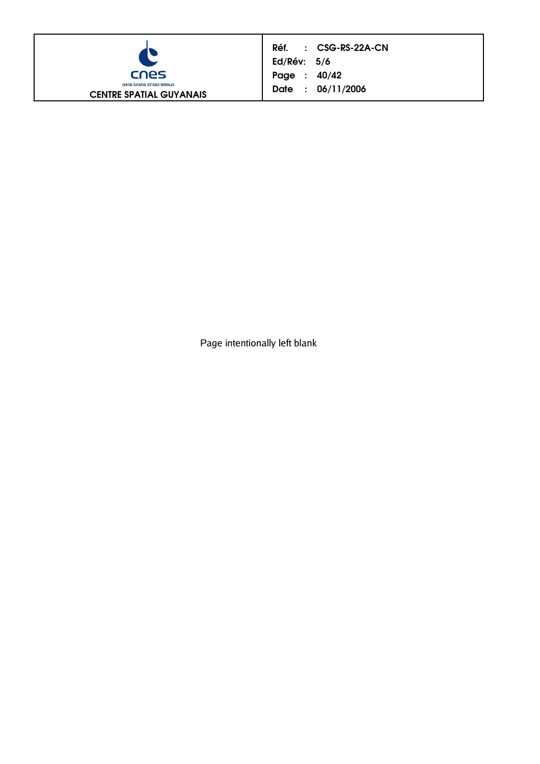

|              | Réf. : CSG-RS-22A-CN |
|--------------|----------------------|
| Ed/Rév: 5/6  |                      |
| Page : 40/42 |                      |
|              | Date : 06/11/2006    |

Page intentionally left blank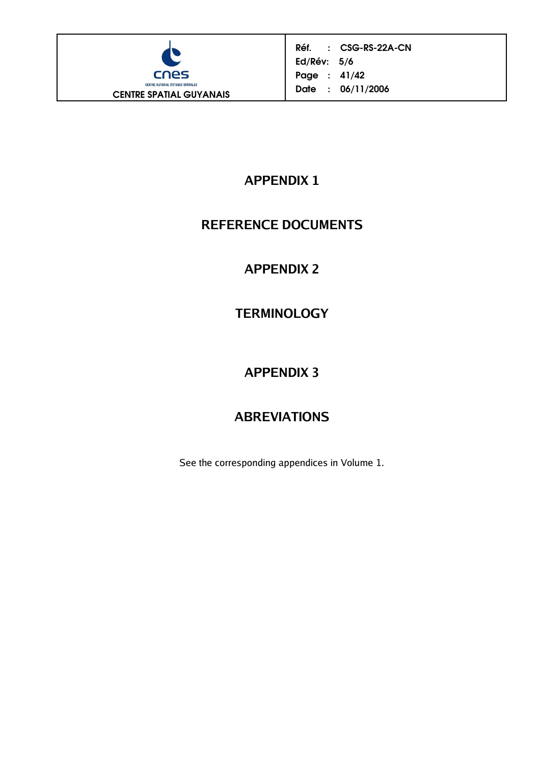

## **APPENDIX 1**

## **REFERENCE DOCUMENTS**

## **APPENDIX 2**

## **TERMINOLOGY**

## **APPENDIX 3**

## **ABREVIATIONS**

See the corresponding appendices in Volume 1.